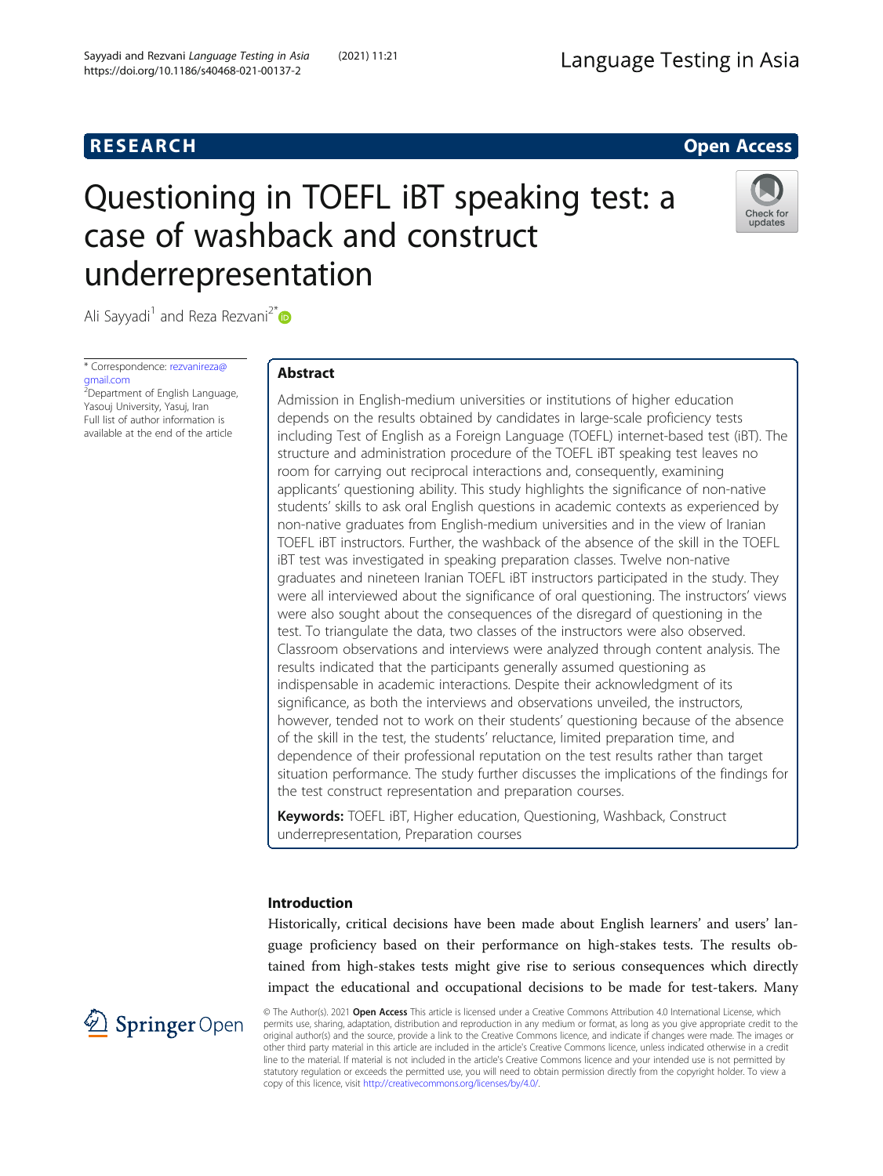# **RESEARCH RESEARCH CONSUMING ACCESS**

# Questioning in TOEFL iBT speaking test: a case of washback and construct underrepresentation



Ali Sayyadi<sup>1</sup> and Reza Rezvani<sup>2\*</sup>

\* Correspondence: [rezvanireza@](mailto:rezvanireza@gmail.com) [gmail.com](mailto:rezvanireza@gmail.com)

<sup>2</sup>Department of English Language, Yasouj University, Yasuj, Iran Full list of author information is available at the end of the article

# Abstract

Admission in English-medium universities or institutions of higher education depends on the results obtained by candidates in large-scale proficiency tests including Test of English as a Foreign Language (TOEFL) internet-based test (iBT). The structure and administration procedure of the TOEFL iBT speaking test leaves no room for carrying out reciprocal interactions and, consequently, examining applicants' questioning ability. This study highlights the significance of non-native students' skills to ask oral English questions in academic contexts as experienced by non-native graduates from English-medium universities and in the view of Iranian TOEFL iBT instructors. Further, the washback of the absence of the skill in the TOEFL iBT test was investigated in speaking preparation classes. Twelve non-native graduates and nineteen Iranian TOEFL iBT instructors participated in the study. They were all interviewed about the significance of oral questioning. The instructors' views were also sought about the consequences of the disregard of questioning in the test. To triangulate the data, two classes of the instructors were also observed. Classroom observations and interviews were analyzed through content analysis. The results indicated that the participants generally assumed questioning as indispensable in academic interactions. Despite their acknowledgment of its significance, as both the interviews and observations unveiled, the instructors, however, tended not to work on their students' questioning because of the absence of the skill in the test, the students' reluctance, limited preparation time, and dependence of their professional reputation on the test results rather than target situation performance. The study further discusses the implications of the findings for the test construct representation and preparation courses.

Keywords: TOEFL iBT, Higher education, Questioning, Washback, Construct underrepresentation, Preparation courses

# Introduction

Historically, critical decisions have been made about English learners' and users' language proficiency based on their performance on high-stakes tests. The results obtained from high-stakes tests might give rise to serious consequences which directly impact the educational and occupational decisions to be made for test-takers. Many



© The Author(s). 2021 Open Access This article is licensed under a Creative Commons Attribution 4.0 International License, which permits use, sharing, adaptation, distribution and reproduction in any medium or format, as long as you give appropriate credit to the original author(s) and the source, provide a link to the Creative Commons licence, and indicate if changes were made. The images or other third party material in this article are included in the article's Creative Commons licence, unless indicated otherwise in a credit line to the material. If material is not included in the article's Creative Commons licence and your intended use is not permitted by statutory regulation or exceeds the permitted use, you will need to obtain permission directly from the copyright holder. To view a copy of this licence, visit <http://creativecommons.org/licenses/by/4.0/>.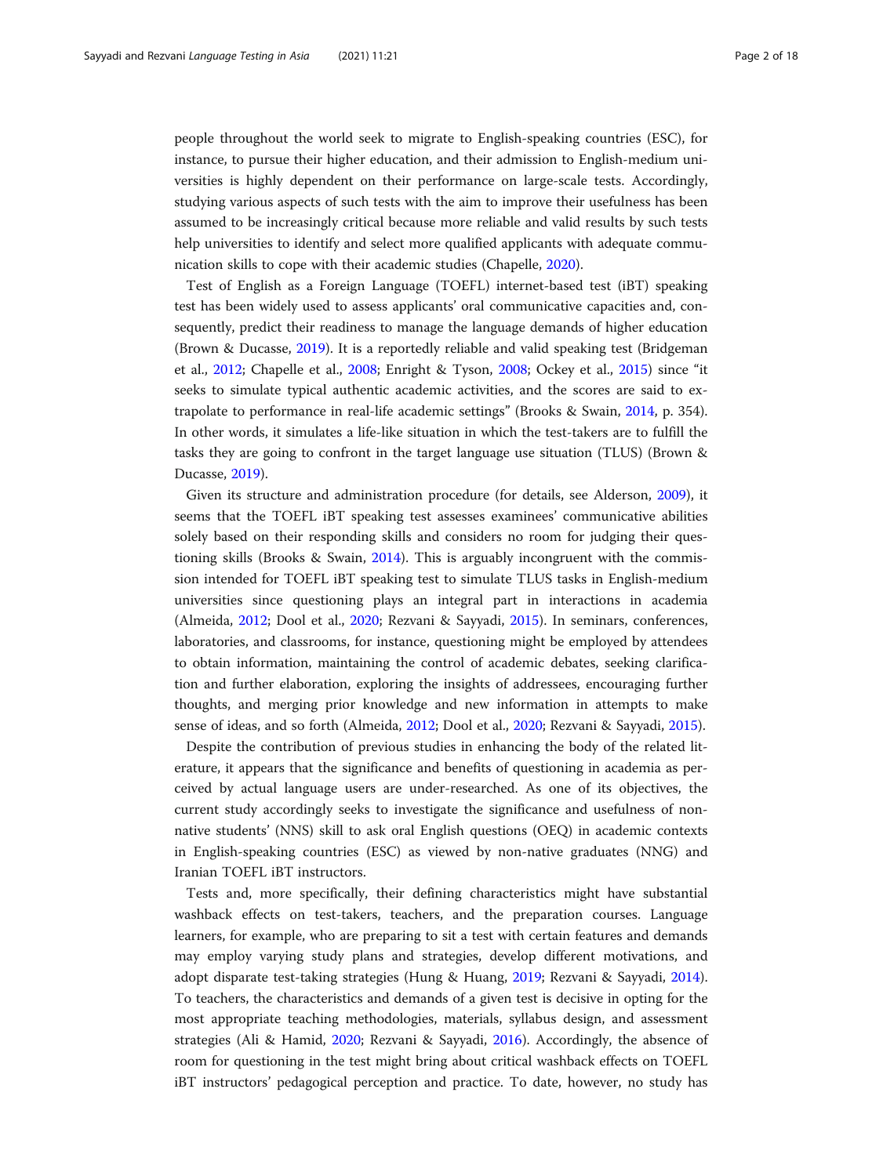people throughout the world seek to migrate to English-speaking countries (ESC), for instance, to pursue their higher education, and their admission to English-medium universities is highly dependent on their performance on large-scale tests. Accordingly, studying various aspects of such tests with the aim to improve their usefulness has been assumed to be increasingly critical because more reliable and valid results by such tests help universities to identify and select more qualified applicants with adequate communication skills to cope with their academic studies (Chapelle, [2020](#page-16-0)).

Test of English as a Foreign Language (TOEFL) internet-based test (iBT) speaking test has been widely used to assess applicants' oral communicative capacities and, consequently, predict their readiness to manage the language demands of higher education (Brown & Ducasse, [2019\)](#page-16-0). It is a reportedly reliable and valid speaking test (Bridgeman et al., [2012;](#page-16-0) Chapelle et al., [2008](#page-16-0); Enright & Tyson, [2008;](#page-16-0) Ockey et al., [2015](#page-16-0)) since "it seeks to simulate typical authentic academic activities, and the scores are said to extrapolate to performance in real-life academic settings" (Brooks & Swain, [2014,](#page-16-0) p. 354). In other words, it simulates a life-like situation in which the test-takers are to fulfill the tasks they are going to confront in the target language use situation (TLUS) (Brown & Ducasse, [2019\)](#page-16-0).

Given its structure and administration procedure (for details, see Alderson, [2009\)](#page-16-0), it seems that the TOEFL iBT speaking test assesses examinees' communicative abilities solely based on their responding skills and considers no room for judging their questioning skills (Brooks & Swain, [2014](#page-16-0)). This is arguably incongruent with the commission intended for TOEFL iBT speaking test to simulate TLUS tasks in English-medium universities since questioning plays an integral part in interactions in academia (Almeida, [2012;](#page-16-0) Dool et al., [2020;](#page-16-0) Rezvani & Sayyadi, [2015\)](#page-17-0). In seminars, conferences, laboratories, and classrooms, for instance, questioning might be employed by attendees to obtain information, maintaining the control of academic debates, seeking clarification and further elaboration, exploring the insights of addressees, encouraging further thoughts, and merging prior knowledge and new information in attempts to make sense of ideas, and so forth (Almeida, [2012;](#page-16-0) Dool et al., [2020](#page-16-0); Rezvani & Sayyadi, [2015\)](#page-17-0).

Despite the contribution of previous studies in enhancing the body of the related literature, it appears that the significance and benefits of questioning in academia as perceived by actual language users are under-researched. As one of its objectives, the current study accordingly seeks to investigate the significance and usefulness of nonnative students' (NNS) skill to ask oral English questions (OEQ) in academic contexts in English-speaking countries (ESC) as viewed by non-native graduates (NNG) and Iranian TOEFL iBT instructors.

Tests and, more specifically, their defining characteristics might have substantial washback effects on test-takers, teachers, and the preparation courses. Language learners, for example, who are preparing to sit a test with certain features and demands may employ varying study plans and strategies, develop different motivations, and adopt disparate test-taking strategies (Hung & Huang, [2019](#page-16-0); Rezvani & Sayyadi, [2014](#page-17-0)). To teachers, the characteristics and demands of a given test is decisive in opting for the most appropriate teaching methodologies, materials, syllabus design, and assessment strategies (Ali & Hamid, [2020](#page-16-0); Rezvani & Sayyadi, [2016](#page-17-0)). Accordingly, the absence of room for questioning in the test might bring about critical washback effects on TOEFL iBT instructors' pedagogical perception and practice. To date, however, no study has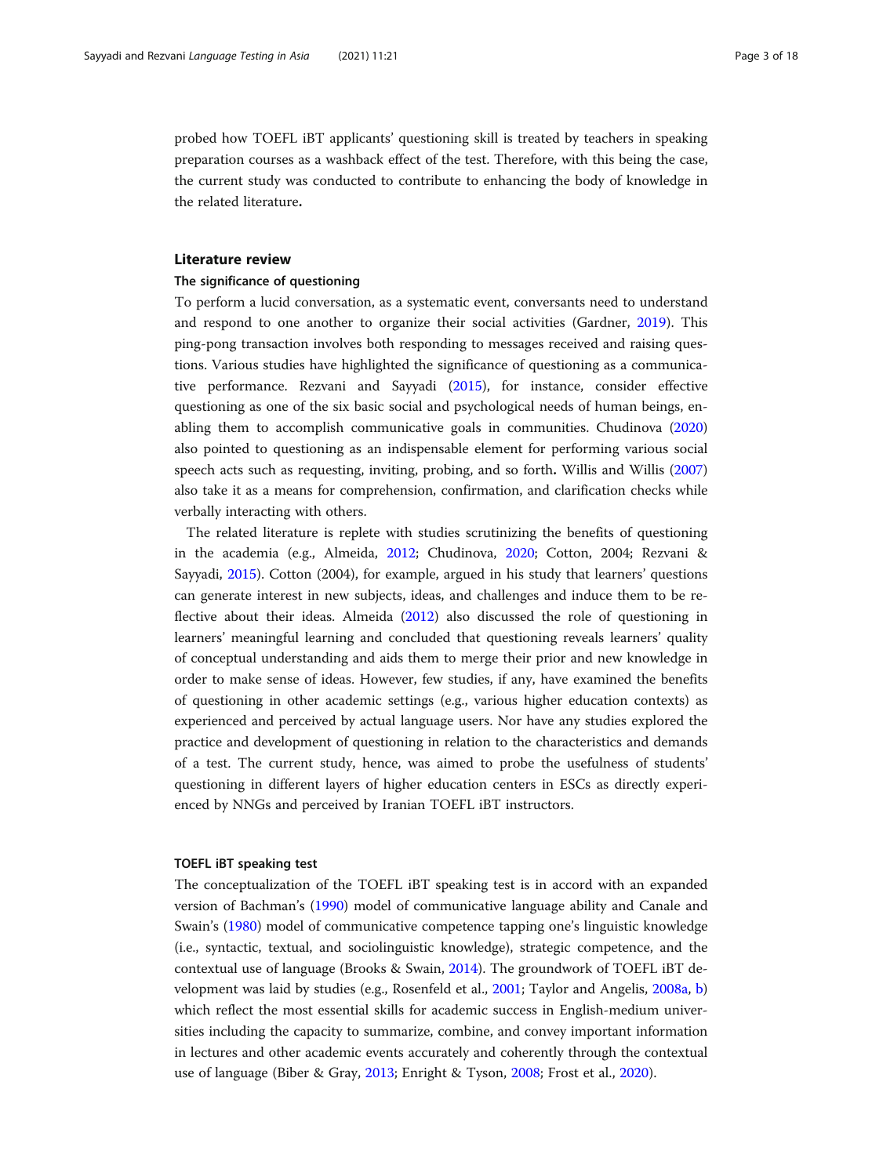probed how TOEFL iBT applicants' questioning skill is treated by teachers in speaking preparation courses as a washback effect of the test. Therefore, with this being the case, the current study was conducted to contribute to enhancing the body of knowledge in the related literature.

# Literature review

# The significance of questioning

To perform a lucid conversation, as a systematic event, conversants need to understand and respond to one another to organize their social activities (Gardner, [2019\)](#page-16-0). This ping-pong transaction involves both responding to messages received and raising questions. Various studies have highlighted the significance of questioning as a communicative performance. Rezvani and Sayyadi ([2015](#page-17-0)), for instance, consider effective questioning as one of the six basic social and psychological needs of human beings, enabling them to accomplish communicative goals in communities. Chudinova ([2020](#page-16-0)) also pointed to questioning as an indispensable element for performing various social speech acts such as requesting, inviting, probing, and so forth. Willis and Willis ([2007](#page-17-0)) also take it as a means for comprehension, confirmation, and clarification checks while verbally interacting with others.

The related literature is replete with studies scrutinizing the benefits of questioning in the academia (e.g., Almeida, [2012;](#page-16-0) Chudinova, [2020;](#page-16-0) Cotton, 2004; Rezvani & Sayyadi, [2015](#page-17-0)). Cotton (2004), for example, argued in his study that learners' questions can generate interest in new subjects, ideas, and challenges and induce them to be reflective about their ideas. Almeida [\(2012](#page-16-0)) also discussed the role of questioning in learners' meaningful learning and concluded that questioning reveals learners' quality of conceptual understanding and aids them to merge their prior and new knowledge in order to make sense of ideas. However, few studies, if any, have examined the benefits of questioning in other academic settings (e.g., various higher education contexts) as experienced and perceived by actual language users. Nor have any studies explored the practice and development of questioning in relation to the characteristics and demands of a test. The current study, hence, was aimed to probe the usefulness of students' questioning in different layers of higher education centers in ESCs as directly experienced by NNGs and perceived by Iranian TOEFL iBT instructors.

# TOEFL iBT speaking test

The conceptualization of the TOEFL iBT speaking test is in accord with an expanded version of Bachman's [\(1990\)](#page-16-0) model of communicative language ability and Canale and Swain's ([1980](#page-16-0)) model of communicative competence tapping one's linguistic knowledge (i.e., syntactic, textual, and sociolinguistic knowledge), strategic competence, and the contextual use of language (Brooks & Swain, [2014](#page-16-0)). The groundwork of TOEFL iBT development was laid by studies (e.g., Rosenfeld et al., [2001;](#page-17-0) Taylor and Angelis, [2008a](#page-17-0), [b](#page-17-0)) which reflect the most essential skills for academic success in English-medium universities including the capacity to summarize, combine, and convey important information in lectures and other academic events accurately and coherently through the contextual use of language (Biber & Gray, [2013](#page-16-0); Enright & Tyson, [2008;](#page-16-0) Frost et al., [2020\)](#page-16-0).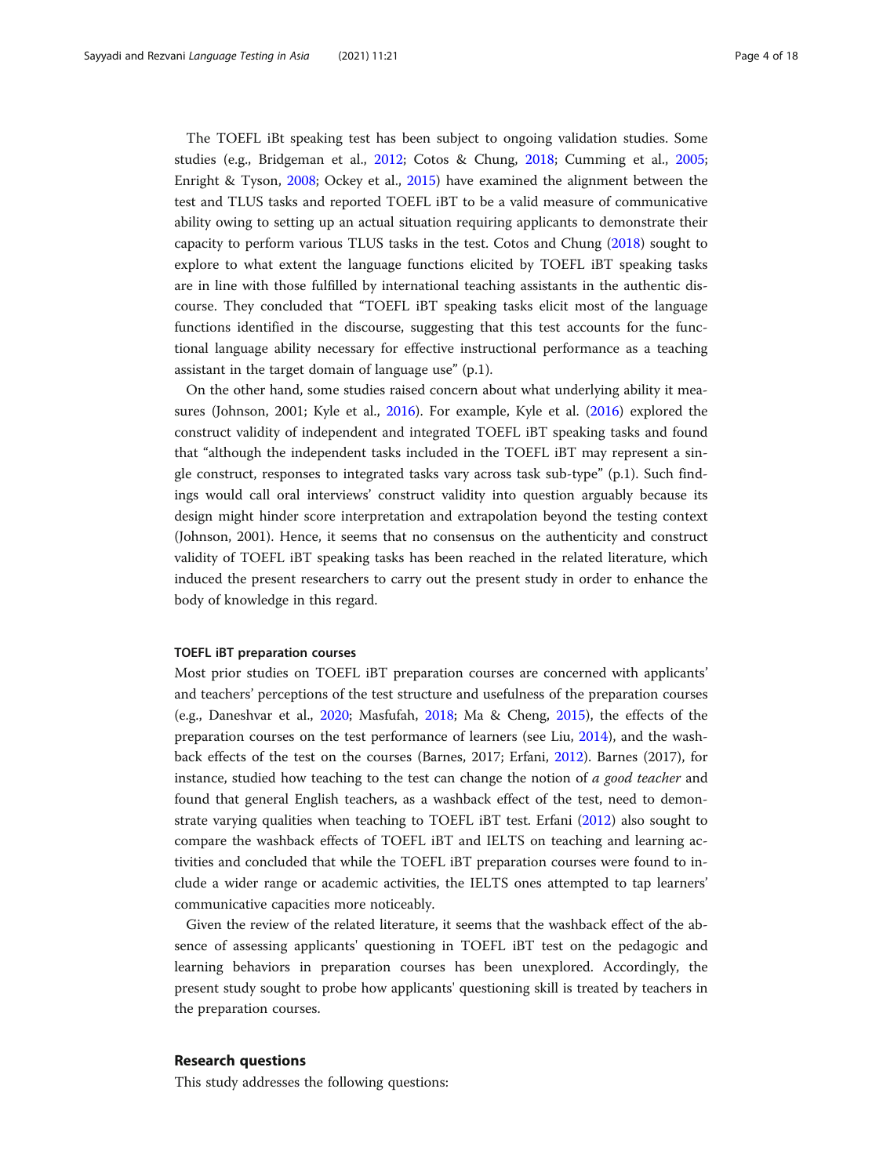The TOEFL iBt speaking test has been subject to ongoing validation studies. Some studies (e.g., Bridgeman et al., [2012](#page-16-0); Cotos & Chung, [2018](#page-16-0); Cumming et al., [2005](#page-16-0); Enright & Tyson, [2008](#page-16-0); Ockey et al., [2015](#page-16-0)) have examined the alignment between the test and TLUS tasks and reported TOEFL iBT to be a valid measure of communicative ability owing to setting up an actual situation requiring applicants to demonstrate their capacity to perform various TLUS tasks in the test. Cotos and Chung [\(2018](#page-16-0)) sought to explore to what extent the language functions elicited by TOEFL iBT speaking tasks are in line with those fulfilled by international teaching assistants in the authentic discourse. They concluded that "TOEFL iBT speaking tasks elicit most of the language functions identified in the discourse, suggesting that this test accounts for the functional language ability necessary for effective instructional performance as a teaching assistant in the target domain of language use" (p.1).

On the other hand, some studies raised concern about what underlying ability it measures (Johnson, 2001; Kyle et al., [2016](#page-16-0)). For example, Kyle et al. [\(2016\)](#page-16-0) explored the construct validity of independent and integrated TOEFL iBT speaking tasks and found that "although the independent tasks included in the TOEFL iBT may represent a single construct, responses to integrated tasks vary across task sub-type" (p.1). Such findings would call oral interviews' construct validity into question arguably because its design might hinder score interpretation and extrapolation beyond the testing context (Johnson, 2001). Hence, it seems that no consensus on the authenticity and construct validity of TOEFL iBT speaking tasks has been reached in the related literature, which induced the present researchers to carry out the present study in order to enhance the body of knowledge in this regard.

# TOEFL iBT preparation courses

Most prior studies on TOEFL iBT preparation courses are concerned with applicants' and teachers' perceptions of the test structure and usefulness of the preparation courses (e.g., Daneshvar et al., [2020;](#page-16-0) Masfufah, [2018](#page-16-0); Ma & Cheng, [2015](#page-16-0)), the effects of the preparation courses on the test performance of learners (see Liu, [2014](#page-16-0)), and the washback effects of the test on the courses (Barnes, 2017; Erfani, [2012\)](#page-16-0). Barnes (2017), for instance, studied how teaching to the test can change the notion of  $a$  good teacher and found that general English teachers, as a washback effect of the test, need to demonstrate varying qualities when teaching to TOEFL iBT test. Erfani ([2012](#page-16-0)) also sought to compare the washback effects of TOEFL iBT and IELTS on teaching and learning activities and concluded that while the TOEFL iBT preparation courses were found to include a wider range or academic activities, the IELTS ones attempted to tap learners' communicative capacities more noticeably.

Given the review of the related literature, it seems that the washback effect of the absence of assessing applicants' questioning in TOEFL iBT test on the pedagogic and learning behaviors in preparation courses has been unexplored. Accordingly, the present study sought to probe how applicants' questioning skill is treated by teachers in the preparation courses.

# Research questions

This study addresses the following questions: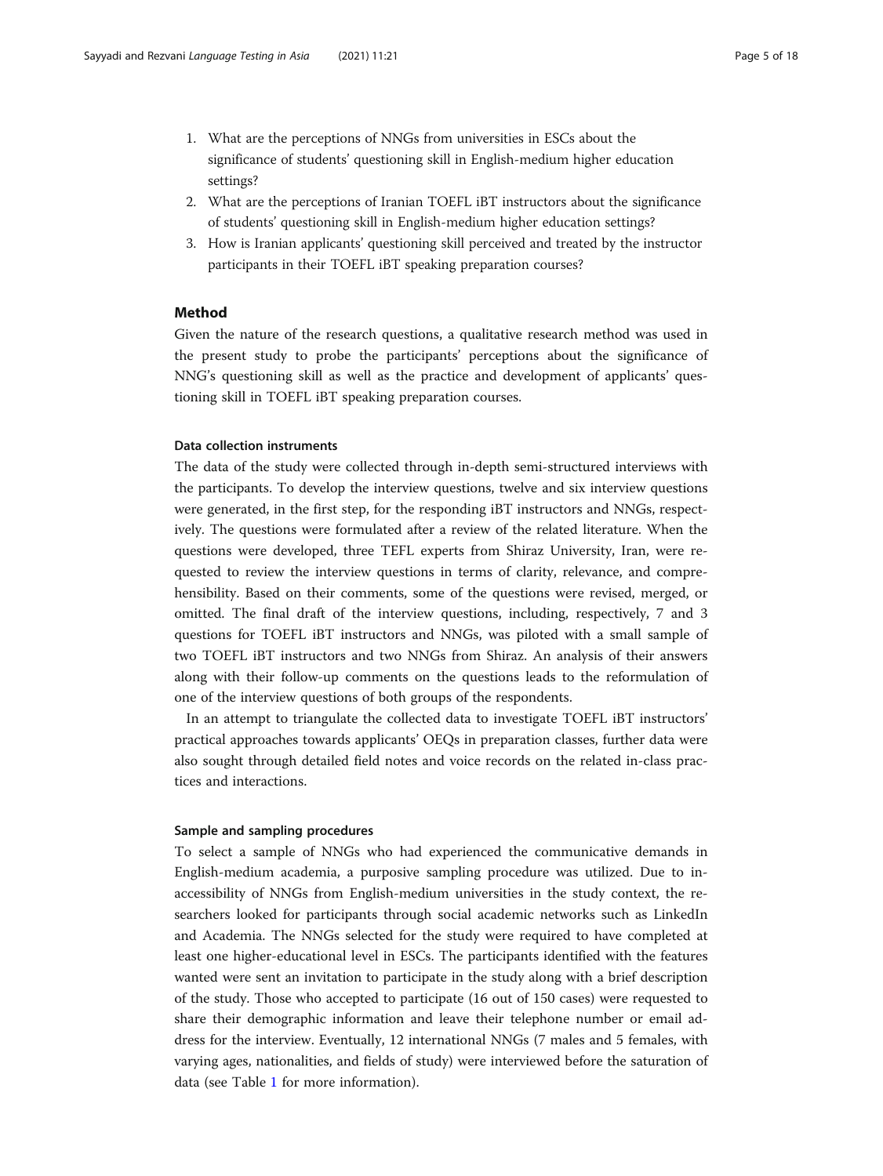- 1. What are the perceptions of NNGs from universities in ESCs about the significance of students' questioning skill in English-medium higher education settings?
- 2. What are the perceptions of Iranian TOEFL iBT instructors about the significance of students' questioning skill in English-medium higher education settings?
- 3. How is Iranian applicants' questioning skill perceived and treated by the instructor participants in their TOEFL iBT speaking preparation courses?

# Method

Given the nature of the research questions, a qualitative research method was used in the present study to probe the participants' perceptions about the significance of NNG's questioning skill as well as the practice and development of applicants' questioning skill in TOEFL iBT speaking preparation courses.

# Data collection instruments

The data of the study were collected through in-depth semi-structured interviews with the participants. To develop the interview questions, twelve and six interview questions were generated, in the first step, for the responding iBT instructors and NNGs, respectively. The questions were formulated after a review of the related literature. When the questions were developed, three TEFL experts from Shiraz University, Iran, were requested to review the interview questions in terms of clarity, relevance, and comprehensibility. Based on their comments, some of the questions were revised, merged, or omitted. The final draft of the interview questions, including, respectively, 7 and 3 questions for TOEFL iBT instructors and NNGs, was piloted with a small sample of two TOEFL iBT instructors and two NNGs from Shiraz. An analysis of their answers along with their follow-up comments on the questions leads to the reformulation of one of the interview questions of both groups of the respondents.

In an attempt to triangulate the collected data to investigate TOEFL iBT instructors' practical approaches towards applicants' OEQs in preparation classes, further data were also sought through detailed field notes and voice records on the related in-class practices and interactions.

# Sample and sampling procedures

To select a sample of NNGs who had experienced the communicative demands in English-medium academia, a purposive sampling procedure was utilized. Due to inaccessibility of NNGs from English-medium universities in the study context, the researchers looked for participants through social academic networks such as LinkedIn and Academia. The NNGs selected for the study were required to have completed at least one higher-educational level in ESCs. The participants identified with the features wanted were sent an invitation to participate in the study along with a brief description of the study. Those who accepted to participate (16 out of 150 cases) were requested to share their demographic information and leave their telephone number or email address for the interview. Eventually, 12 international NNGs (7 males and 5 females, with varying ages, nationalities, and fields of study) were interviewed before the saturation of data (see Table [1](#page-5-0) for more information).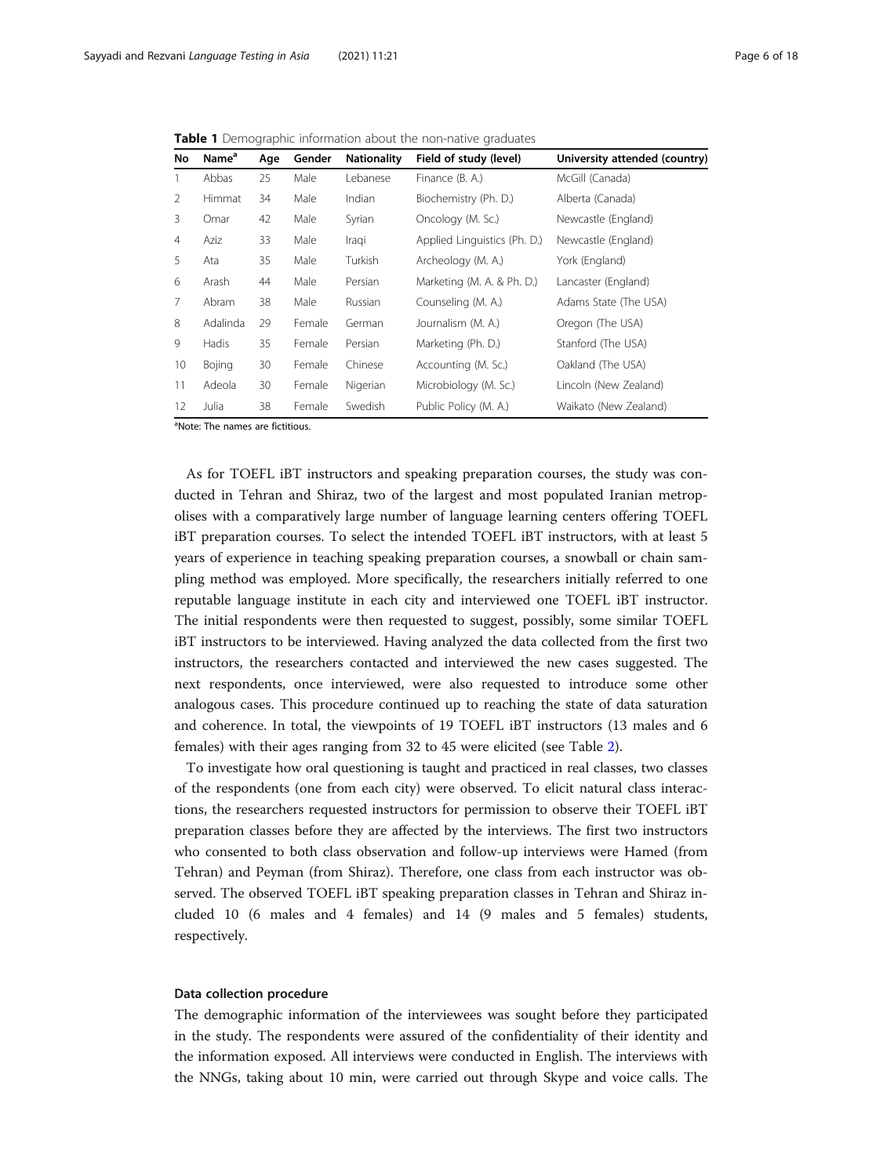<span id="page-5-0"></span>Table 1 Demographic information about the non-native graduates

| No             | Name <sup>a</sup> | Age | Gender | <b>Nationality</b> | Field of study (level)       | University attended (country) |
|----------------|-------------------|-----|--------|--------------------|------------------------------|-------------------------------|
| 1              | Abbas             | 25  | Male   | Lebanese           | Finance (B. A.)              | McGill (Canada)               |
| 2              | Himmat            | 34  | Male   | Indian             | Biochemistry (Ph. D.)        | Alberta (Canada)              |
| 3              | Omar              | 42  | Male   | Syrian             | Oncology (M. Sc.)            | Newcastle (England)           |
| $\overline{4}$ | Aziz              | 33  | Male   | Iraqi              | Applied Linguistics (Ph. D.) | Newcastle (England)           |
| 5              | Ata               | 35  | Male   | Turkish            | Archeology (M. A.)           | York (England)                |
| 6              | Arash             | 44  | Male   | Persian            | Marketing (M. A. & Ph. D.)   | Lancaster (England)           |
| $\overline{7}$ | Abram             | 38  | Male   | Russian            | Counseling (M. A.)           | Adams State (The USA)         |
| 8              | Adalinda          | 29  | Female | German             | Journalism (M. A.)           | Oregon (The USA)              |
| 9              | Hadis             | 35  | Female | Persian            | Marketing (Ph. D.)           | Stanford (The USA)            |
| 10             | <b>Bojing</b>     | 30  | Female | Chinese            | Accounting (M. Sc.)          | Oakland (The USA)             |
| 11             | Adeola            | 30  | Female | Nigerian           | Microbiology (M. Sc.)        | Lincoln (New Zealand)         |
| 12             | Julia             | 38  | Female | Swedish            | Public Policy (M. A.)        | Waikato (New Zealand)         |

<sup>a</sup>Note: The names are fictitious.

As for TOEFL iBT instructors and speaking preparation courses, the study was conducted in Tehran and Shiraz, two of the largest and most populated Iranian metropolises with a comparatively large number of language learning centers offering TOEFL iBT preparation courses. To select the intended TOEFL iBT instructors, with at least 5 years of experience in teaching speaking preparation courses, a snowball or chain sampling method was employed. More specifically, the researchers initially referred to one reputable language institute in each city and interviewed one TOEFL iBT instructor. The initial respondents were then requested to suggest, possibly, some similar TOEFL iBT instructors to be interviewed. Having analyzed the data collected from the first two instructors, the researchers contacted and interviewed the new cases suggested. The next respondents, once interviewed, were also requested to introduce some other analogous cases. This procedure continued up to reaching the state of data saturation and coherence. In total, the viewpoints of 19 TOEFL iBT instructors (13 males and 6 females) with their ages ranging from 32 to 45 were elicited (see Table [2\)](#page-6-0).

To investigate how oral questioning is taught and practiced in real classes, two classes of the respondents (one from each city) were observed. To elicit natural class interactions, the researchers requested instructors for permission to observe their TOEFL iBT preparation classes before they are affected by the interviews. The first two instructors who consented to both class observation and follow-up interviews were Hamed (from Tehran) and Peyman (from Shiraz). Therefore, one class from each instructor was observed. The observed TOEFL iBT speaking preparation classes in Tehran and Shiraz included 10 (6 males and 4 females) and 14 (9 males and 5 females) students, respectively.

# Data collection procedure

The demographic information of the interviewees was sought before they participated in the study. The respondents were assured of the confidentiality of their identity and the information exposed. All interviews were conducted in English. The interviews with the NNGs, taking about 10 min, were carried out through Skype and voice calls. The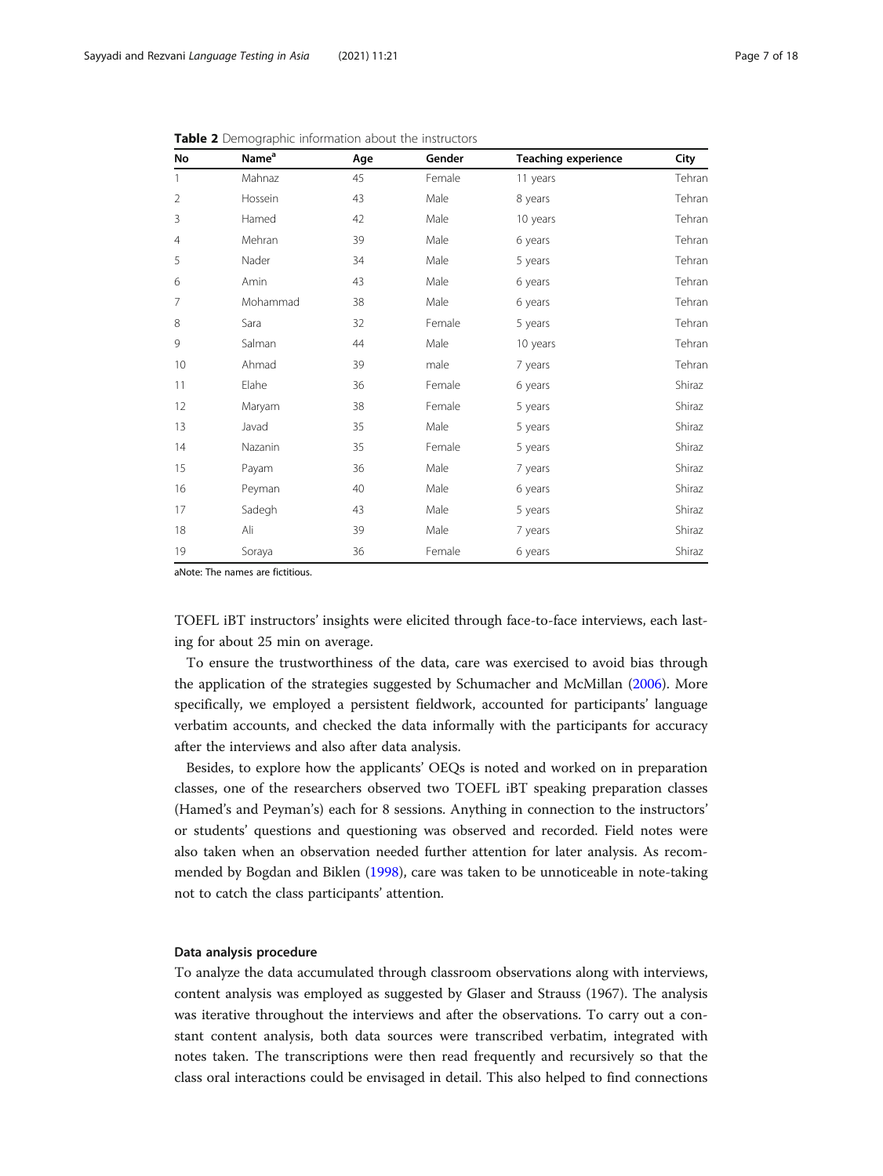| No             | Name <sup>a</sup> | Age | Gender | <b>Teaching experience</b> | City   |
|----------------|-------------------|-----|--------|----------------------------|--------|
|                | Mahnaz            | 45  | Female | 11 years                   | Tehran |
| $\overline{2}$ | Hossein           | 43  | Male   | 8 years                    | Tehran |
| 3              | Hamed             | 42  | Male   | 10 years                   | Tehran |
| $\overline{4}$ | Mehran            | 39  | Male   | 6 years                    | Tehran |
| 5              | Nader             | 34  | Male   | 5 years                    | Tehran |
| 6              | Amin              | 43  | Male   | 6 years                    | Tehran |
| 7              | Mohammad          | 38  | Male   | 6 years                    | Tehran |
| 8              | Sara              | 32  | Female | 5 years                    | Tehran |
| 9              | Salman            | 44  | Male   | 10 years                   | Tehran |
| 10             | Ahmad             | 39  | male   | 7 years                    | Tehran |
| 11             | Elahe             | 36  | Female | 6 years                    | Shiraz |
| 12             | Maryam            | 38  | Female | 5 years                    | Shiraz |
| 13             | Javad             | 35  | Male   | 5 years                    | Shiraz |
| 14             | Nazanin           | 35  | Female | 5 years                    | Shiraz |
| 15             | Payam             | 36  | Male   | 7 years                    | Shiraz |
| 16             | Peyman            | 40  | Male   | 6 years                    | Shiraz |
| 17             | Sadegh            | 43  | Male   | 5 years                    | Shiraz |
| 18             | Ali               | 39  | Male   | 7 years                    | Shiraz |
| 19             | Soraya            | 36  | Female | 6 years                    | Shiraz |

<span id="page-6-0"></span>**Table 2** Demographic information about the instructors

aNote: The names are fictitious.

TOEFL iBT instructors' insights were elicited through face-to-face interviews, each lasting for about 25 min on average.

To ensure the trustworthiness of the data, care was exercised to avoid bias through the application of the strategies suggested by Schumacher and McMillan ([2006\)](#page-17-0). More specifically, we employed a persistent fieldwork, accounted for participants' language verbatim accounts, and checked the data informally with the participants for accuracy after the interviews and also after data analysis.

Besides, to explore how the applicants' OEQs is noted and worked on in preparation classes, one of the researchers observed two TOEFL iBT speaking preparation classes (Hamed's and Peyman's) each for 8 sessions. Anything in connection to the instructors' or students' questions and questioning was observed and recorded. Field notes were also taken when an observation needed further attention for later analysis. As recommended by Bogdan and Biklen ([1998](#page-16-0)), care was taken to be unnoticeable in note-taking not to catch the class participants' attention.

# Data analysis procedure

To analyze the data accumulated through classroom observations along with interviews, content analysis was employed as suggested by Glaser and Strauss (1967). The analysis was iterative throughout the interviews and after the observations. To carry out a constant content analysis, both data sources were transcribed verbatim, integrated with notes taken. The transcriptions were then read frequently and recursively so that the class oral interactions could be envisaged in detail. This also helped to find connections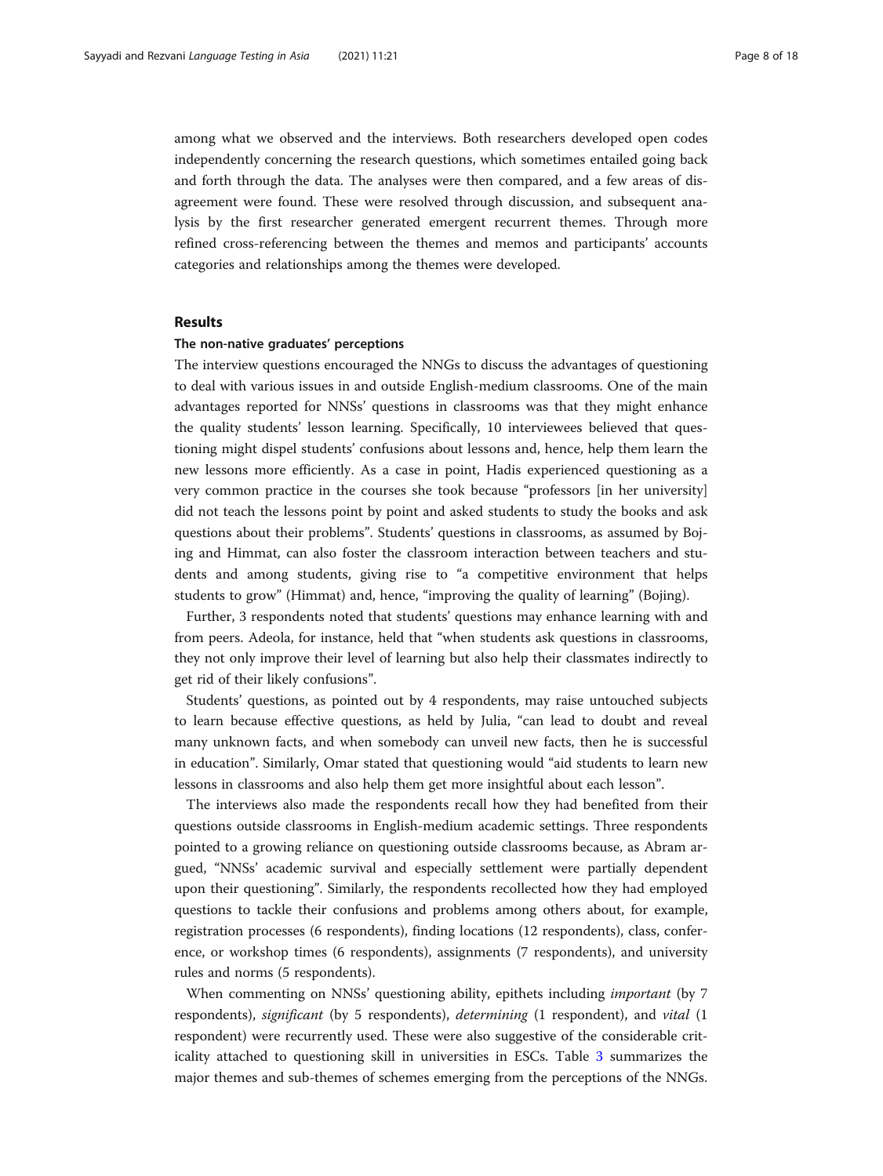among what we observed and the interviews. Both researchers developed open codes independently concerning the research questions, which sometimes entailed going back and forth through the data. The analyses were then compared, and a few areas of disagreement were found. These were resolved through discussion, and subsequent analysis by the first researcher generated emergent recurrent themes. Through more refined cross-referencing between the themes and memos and participants' accounts categories and relationships among the themes were developed.

# Results

# The non-native graduates' perceptions

The interview questions encouraged the NNGs to discuss the advantages of questioning to deal with various issues in and outside English-medium classrooms. One of the main advantages reported for NNSs' questions in classrooms was that they might enhance the quality students' lesson learning. Specifically, 10 interviewees believed that questioning might dispel students' confusions about lessons and, hence, help them learn the new lessons more efficiently. As a case in point, Hadis experienced questioning as a very common practice in the courses she took because "professors [in her university] did not teach the lessons point by point and asked students to study the books and ask questions about their problems". Students' questions in classrooms, as assumed by Bojing and Himmat, can also foster the classroom interaction between teachers and students and among students, giving rise to "a competitive environment that helps students to grow" (Himmat) and, hence, "improving the quality of learning" (Bojing).

Further, 3 respondents noted that students' questions may enhance learning with and from peers. Adeola, for instance, held that "when students ask questions in classrooms, they not only improve their level of learning but also help their classmates indirectly to get rid of their likely confusions".

Students' questions, as pointed out by 4 respondents, may raise untouched subjects to learn because effective questions, as held by Julia, "can lead to doubt and reveal many unknown facts, and when somebody can unveil new facts, then he is successful in education". Similarly, Omar stated that questioning would "aid students to learn new lessons in classrooms and also help them get more insightful about each lesson".

The interviews also made the respondents recall how they had benefited from their questions outside classrooms in English-medium academic settings. Three respondents pointed to a growing reliance on questioning outside classrooms because, as Abram argued, "NNSs' academic survival and especially settlement were partially dependent upon their questioning". Similarly, the respondents recollected how they had employed questions to tackle their confusions and problems among others about, for example, registration processes (6 respondents), finding locations (12 respondents), class, conference, or workshop times (6 respondents), assignments (7 respondents), and university rules and norms (5 respondents).

When commenting on NNSs' questioning ability, epithets including important (by 7 respondents), significant (by 5 respondents), determining (1 respondent), and vital (1 respondent) were recurrently used. These were also suggestive of the considerable criticality attached to questioning skill in universities in ESCs. Table [3](#page-8-0) summarizes the major themes and sub-themes of schemes emerging from the perceptions of the NNGs.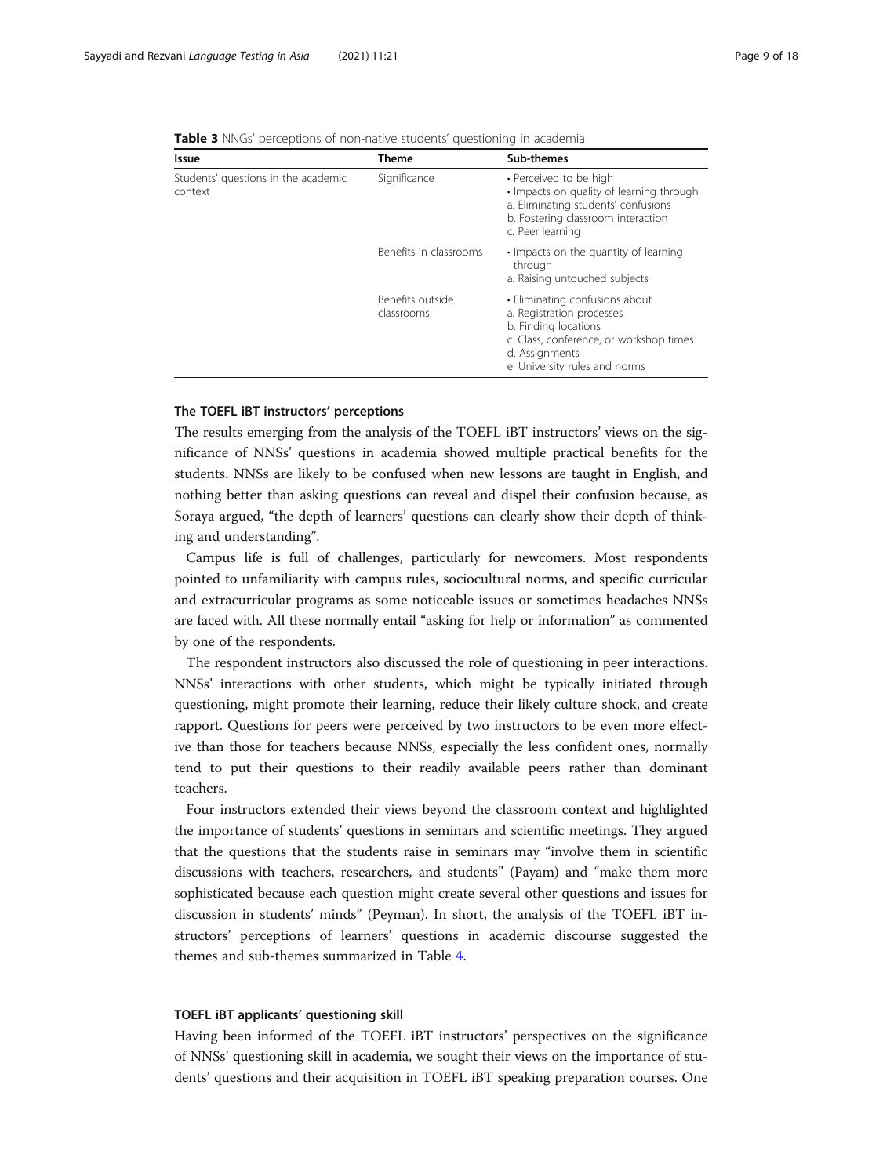<span id="page-8-0"></span>

| Table 3 NNGs' perceptions of non-native students' questioning in academia |  |  |  |  |  |
|---------------------------------------------------------------------------|--|--|--|--|--|
|---------------------------------------------------------------------------|--|--|--|--|--|

| Issue                                          | Theme                          | Sub-themes                                                                                                                                                                        |  |  |
|------------------------------------------------|--------------------------------|-----------------------------------------------------------------------------------------------------------------------------------------------------------------------------------|--|--|
| Students' questions in the academic<br>context | Significance                   | • Perceived to be high<br>• Impacts on quality of learning through<br>a. Eliminating students' confusions<br>b. Fostering classroom interaction<br>c. Peer learning               |  |  |
|                                                | Benefits in classrooms         | • Impacts on the quantity of learning<br>through<br>a. Raising untouched subjects                                                                                                 |  |  |
|                                                | Benefits outside<br>classrooms | • Eliminating confusions about<br>a. Registration processes<br>b. Finding locations<br>c. Class, conference, or workshop times<br>d. Assignments<br>e. University rules and norms |  |  |

# The TOEFL iBT instructors' perceptions

The results emerging from the analysis of the TOEFL iBT instructors' views on the significance of NNSs' questions in academia showed multiple practical benefits for the students. NNSs are likely to be confused when new lessons are taught in English, and nothing better than asking questions can reveal and dispel their confusion because, as Soraya argued, "the depth of learners' questions can clearly show their depth of thinking and understanding".

Campus life is full of challenges, particularly for newcomers. Most respondents pointed to unfamiliarity with campus rules, sociocultural norms, and specific curricular and extracurricular programs as some noticeable issues or sometimes headaches NNSs are faced with. All these normally entail "asking for help or information" as commented by one of the respondents.

The respondent instructors also discussed the role of questioning in peer interactions. NNSs' interactions with other students, which might be typically initiated through questioning, might promote their learning, reduce their likely culture shock, and create rapport. Questions for peers were perceived by two instructors to be even more effective than those for teachers because NNSs, especially the less confident ones, normally tend to put their questions to their readily available peers rather than dominant teachers.

Four instructors extended their views beyond the classroom context and highlighted the importance of students' questions in seminars and scientific meetings. They argued that the questions that the students raise in seminars may "involve them in scientific discussions with teachers, researchers, and students" (Payam) and "make them more sophisticated because each question might create several other questions and issues for discussion in students' minds" (Peyman). In short, the analysis of the TOEFL iBT instructors' perceptions of learners' questions in academic discourse suggested the themes and sub-themes summarized in Table [4](#page-9-0).

# TOEFL iBT applicants' questioning skill

Having been informed of the TOEFL iBT instructors' perspectives on the significance of NNSs' questioning skill in academia, we sought their views on the importance of students' questions and their acquisition in TOEFL iBT speaking preparation courses. One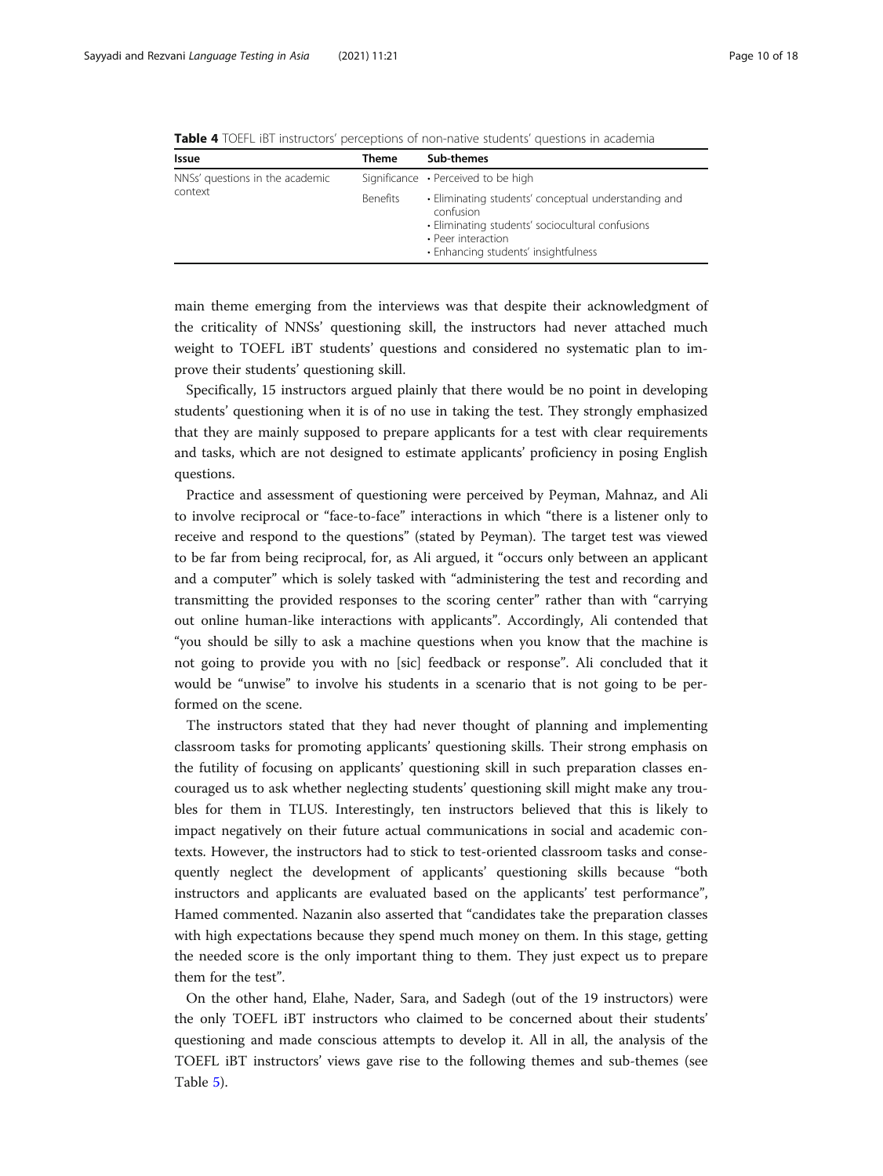<span id="page-9-0"></span>

|  | <b>Table 4</b> TOEFL IBT instructors' perceptions of non-native students' questions in academia |
|--|-------------------------------------------------------------------------------------------------|
|--|-------------------------------------------------------------------------------------------------|

| Issue                           | Theme           | Sub-themes                                                                                                                                                                          |
|---------------------------------|-----------------|-------------------------------------------------------------------------------------------------------------------------------------------------------------------------------------|
| NNSs' questions in the academic |                 | Significance • Perceived to be high                                                                                                                                                 |
| context                         | <b>Benefits</b> | • Eliminating students' conceptual understanding and<br>confusion<br>· Eliminating students' sociocultural confusions<br>• Peer interaction<br>• Enhancing students' insightfulness |

main theme emerging from the interviews was that despite their acknowledgment of the criticality of NNSs' questioning skill, the instructors had never attached much weight to TOEFL iBT students' questions and considered no systematic plan to improve their students' questioning skill.

Specifically, 15 instructors argued plainly that there would be no point in developing students' questioning when it is of no use in taking the test. They strongly emphasized that they are mainly supposed to prepare applicants for a test with clear requirements and tasks, which are not designed to estimate applicants' proficiency in posing English questions.

Practice and assessment of questioning were perceived by Peyman, Mahnaz, and Ali to involve reciprocal or "face-to-face" interactions in which "there is a listener only to receive and respond to the questions" (stated by Peyman). The target test was viewed to be far from being reciprocal, for, as Ali argued, it "occurs only between an applicant and a computer" which is solely tasked with "administering the test and recording and transmitting the provided responses to the scoring center" rather than with "carrying out online human-like interactions with applicants". Accordingly, Ali contended that "you should be silly to ask a machine questions when you know that the machine is not going to provide you with no [sic] feedback or response". Ali concluded that it would be "unwise" to involve his students in a scenario that is not going to be performed on the scene.

The instructors stated that they had never thought of planning and implementing classroom tasks for promoting applicants' questioning skills. Their strong emphasis on the futility of focusing on applicants' questioning skill in such preparation classes encouraged us to ask whether neglecting students' questioning skill might make any troubles for them in TLUS. Interestingly, ten instructors believed that this is likely to impact negatively on their future actual communications in social and academic contexts. However, the instructors had to stick to test-oriented classroom tasks and consequently neglect the development of applicants' questioning skills because "both instructors and applicants are evaluated based on the applicants' test performance", Hamed commented. Nazanin also asserted that "candidates take the preparation classes with high expectations because they spend much money on them. In this stage, getting the needed score is the only important thing to them. They just expect us to prepare them for the test".

On the other hand, Elahe, Nader, Sara, and Sadegh (out of the 19 instructors) were the only TOEFL iBT instructors who claimed to be concerned about their students' questioning and made conscious attempts to develop it. All in all, the analysis of the TOEFL iBT instructors' views gave rise to the following themes and sub-themes (see Table [5](#page-10-0)).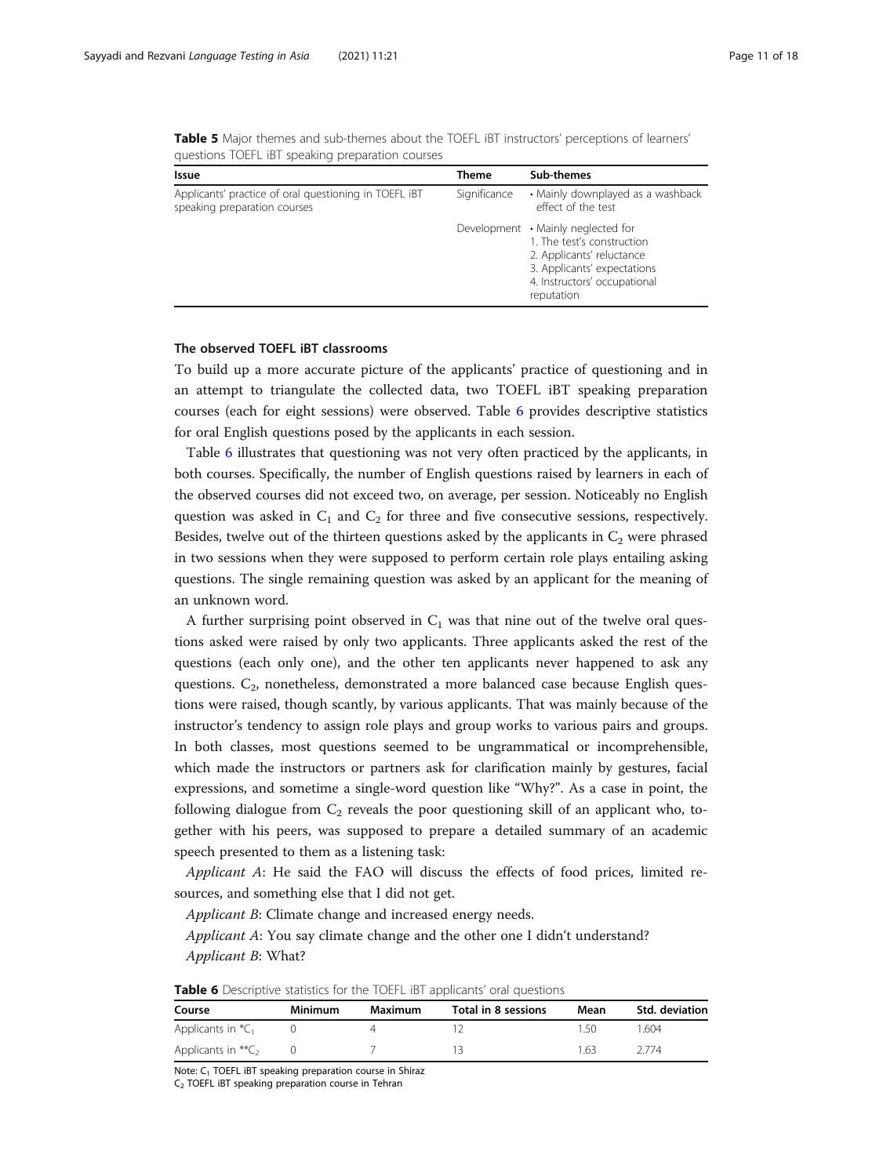<span id="page-10-0"></span>Table 5 Major themes and sub-themes about the TOEFL iBT instructors' perceptions of learners' questions TOEFL iBT speaking preparation courses

| Issue                                                                                 | Theme        | Sub-themes                                                                                                                                                                 |
|---------------------------------------------------------------------------------------|--------------|----------------------------------------------------------------------------------------------------------------------------------------------------------------------------|
| Applicants' practice of oral questioning in TOEFL IBT<br>speaking preparation courses | Significance | • Mainly downplayed as a washback<br>effect of the test                                                                                                                    |
|                                                                                       |              | Development • Mainly neglected for<br>1. The test's construction<br>2. Applicants' reluctance<br>3. Applicants' expectations<br>4. Instructors' occupational<br>reputation |

# The observed TOEFL iBT classrooms

To build up a more accurate picture of the applicants' practice of questioning and in an attempt to triangulate the collected data, two TOEFL iBT speaking preparation courses (each for eight sessions) were observed. Table 6 provides descriptive statistics for oral English questions posed by the applicants in each session.

Table 6 illustrates that questioning was not very often practiced by the applicants, in both courses. Specifically, the number of English questions raised by learners in each of the observed courses did not exceed two, on average, per session. Noticeably no English question was asked in  $C_1$  and  $C_2$  for three and five consecutive sessions, respectively. Besides, twelve out of the thirteen questions asked by the applicants in  $C_2$  were phrased in two sessions when they were supposed to perform certain role plays entailing asking questions. The single remaining question was asked by an applicant for the meaning of an unknown word.

A further surprising point observed in  $C_1$  was that nine out of the twelve oral questions asked were raised by only two applicants. Three applicants asked the rest of the questions (each only one), and the other ten applicants never happened to ask any questions.  $C_2$ , nonetheless, demonstrated a more balanced case because English questions were raised, though scantly, by various applicants. That was mainly because of the instructor's tendency to assign role plays and group works to various pairs and groups. In both classes, most questions seemed to be ungrammatical or incomprehensible, which made the instructors or partners ask for clarification mainly by gestures, facial expressions, and sometime a single-word question like "Why?". As a case in point, the following dialogue from  $C_2$  reveals the poor questioning skill of an applicant who, together with his peers, was supposed to prepare a detailed summary of an academic speech presented to them as a listening task:

Applicant A: He said the FAO will discuss the effects of food prices, limited resources, and something else that I did not get.

Applicant B: Climate change and increased energy needs.

Applicant A: You say climate change and the other one I didn't understand? Applicant B: What?

| <b>I WINTE &amp;</b> DESCRIPTIVE STATISTICS TOT THE TOLE TOT APPRICATIES OTHER GALSTICHS. |         |         |                     |      |                       |  |
|-------------------------------------------------------------------------------------------|---------|---------|---------------------|------|-----------------------|--|
| Course                                                                                    | Minimum | Maximum | Total in 8 sessions | Mean | <b>Std. deviation</b> |  |
| Applicants in ${}^*\mathcal{C}_1$                                                         |         |         |                     | 150  | 1 604                 |  |
| Applicants in $*$ $C_2$                                                                   |         |         | 12.                 | 1.63 | 2 7 7 4               |  |

**Table 6** Descriptive statistics for the TOEFL IBT applicants' oral questions

Note: C<sub>1</sub> TOEFL iBT speaking preparation course in Shiraz

 $C<sub>2</sub>$  TOEFL iBT speaking preparation course in Tehran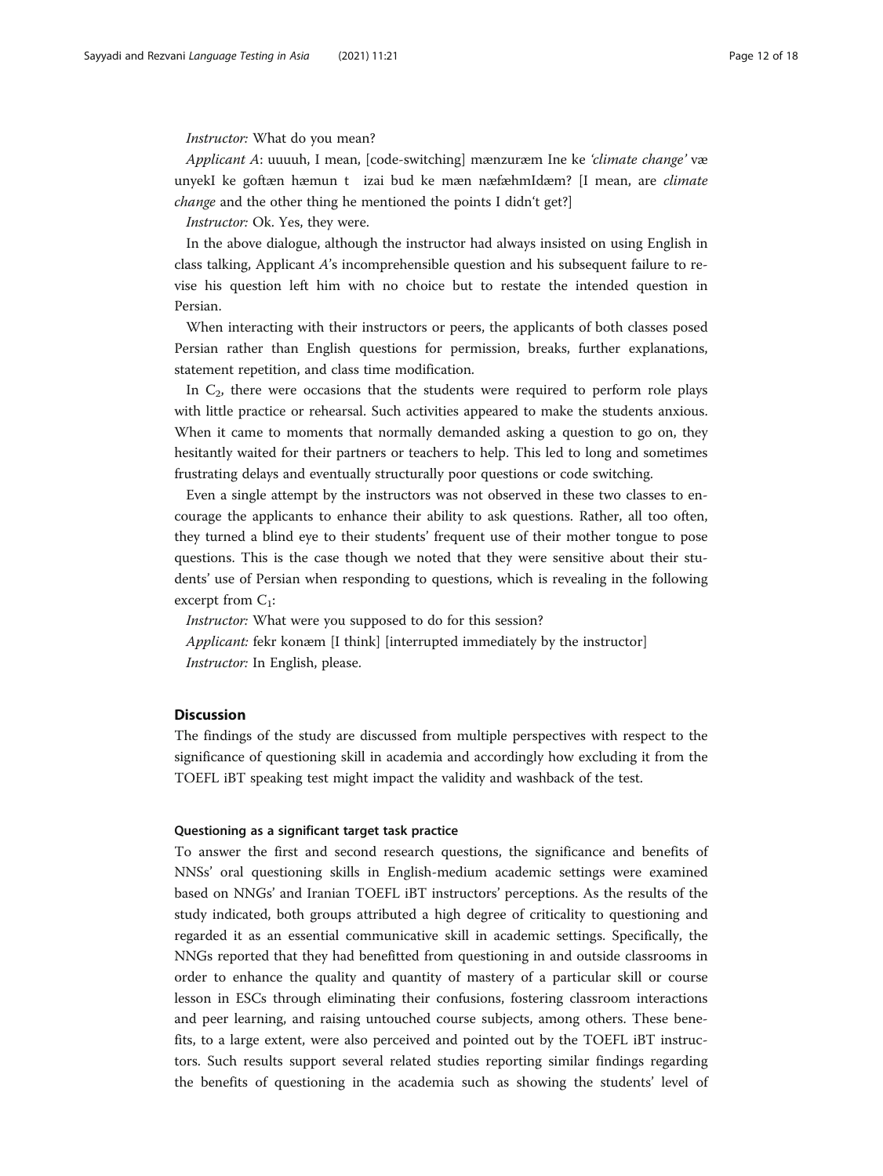# Instructor: What do you mean?

Applicant A: uuuuh, I mean, [code-switching] mænzuræm Ine ke 'climate change' væ unyekI ke goftæn hæmun t izai bud ke mæn næfæhmIdæm? [I mean, are climate change and the other thing he mentioned the points I didn't get?]

Instructor: Ok. Yes, they were.

In the above dialogue, although the instructor had always insisted on using English in class talking, Applicant A's incomprehensible question and his subsequent failure to revise his question left him with no choice but to restate the intended question in Persian.

When interacting with their instructors or peers, the applicants of both classes posed Persian rather than English questions for permission, breaks, further explanations, statement repetition, and class time modification.

In  $C_2$ , there were occasions that the students were required to perform role plays with little practice or rehearsal. Such activities appeared to make the students anxious. When it came to moments that normally demanded asking a question to go on, they hesitantly waited for their partners or teachers to help. This led to long and sometimes frustrating delays and eventually structurally poor questions or code switching.

Even a single attempt by the instructors was not observed in these two classes to encourage the applicants to enhance their ability to ask questions. Rather, all too often, they turned a blind eye to their students' frequent use of their mother tongue to pose questions. This is the case though we noted that they were sensitive about their students' use of Persian when responding to questions, which is revealing in the following excerpt from  $C_1$ :

Instructor: What were you supposed to do for this session? Applicant: fekr konæm [I think] [interrupted immediately by the instructor] Instructor: In English, please.

# **Discussion**

The findings of the study are discussed from multiple perspectives with respect to the significance of questioning skill in academia and accordingly how excluding it from the TOEFL iBT speaking test might impact the validity and washback of the test.

# Questioning as a significant target task practice

To answer the first and second research questions, the significance and benefits of NNSs' oral questioning skills in English-medium academic settings were examined based on NNGs' and Iranian TOEFL iBT instructors' perceptions. As the results of the study indicated, both groups attributed a high degree of criticality to questioning and regarded it as an essential communicative skill in academic settings. Specifically, the NNGs reported that they had benefitted from questioning in and outside classrooms in order to enhance the quality and quantity of mastery of a particular skill or course lesson in ESCs through eliminating their confusions, fostering classroom interactions and peer learning, and raising untouched course subjects, among others. These benefits, to a large extent, were also perceived and pointed out by the TOEFL iBT instructors. Such results support several related studies reporting similar findings regarding the benefits of questioning in the academia such as showing the students' level of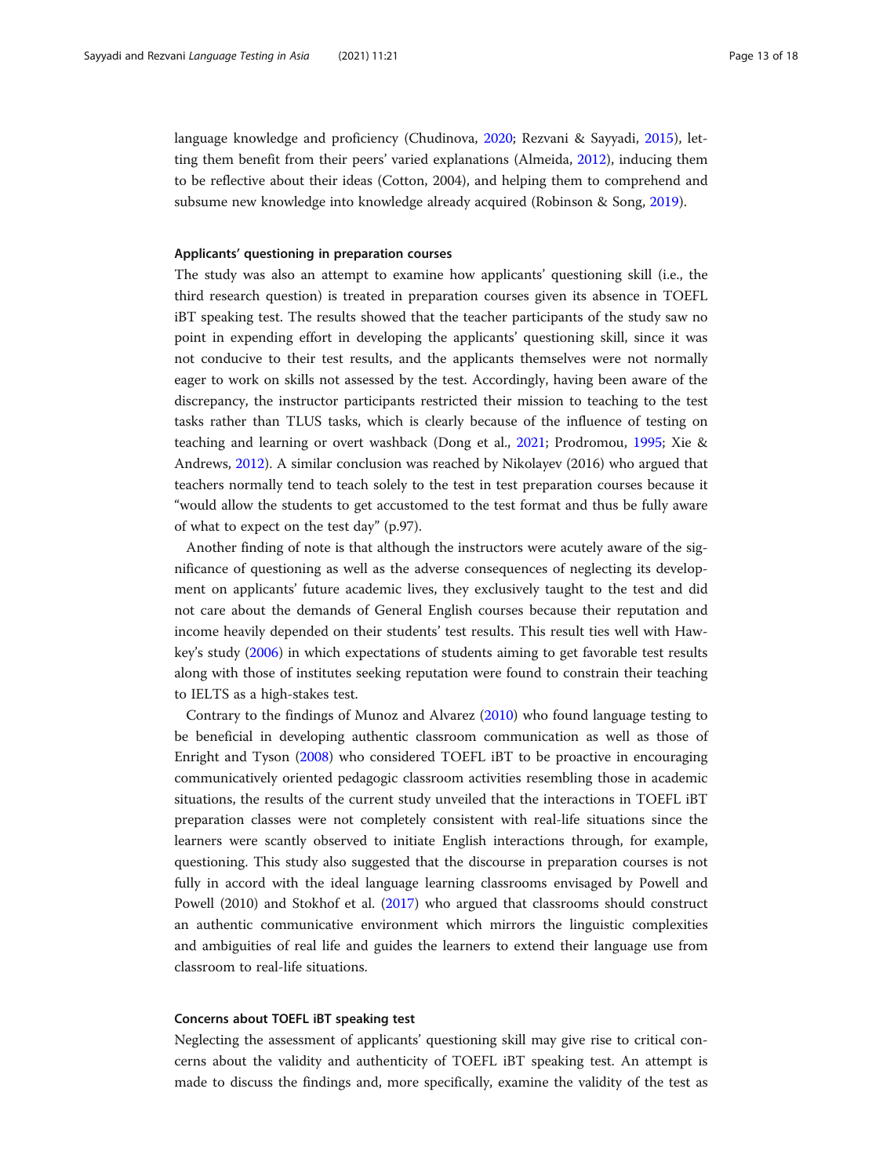language knowledge and proficiency (Chudinova, [2020](#page-16-0); Rezvani & Sayyadi, [2015\)](#page-17-0), letting them benefit from their peers' varied explanations (Almeida, [2012](#page-16-0)), inducing them to be reflective about their ideas (Cotton, 2004), and helping them to comprehend and subsume new knowledge into knowledge already acquired (Robinson & Song, [2019](#page-17-0)).

# Applicants' questioning in preparation courses

The study was also an attempt to examine how applicants' questioning skill (i.e., the third research question) is treated in preparation courses given its absence in TOEFL iBT speaking test. The results showed that the teacher participants of the study saw no point in expending effort in developing the applicants' questioning skill, since it was not conducive to their test results, and the applicants themselves were not normally eager to work on skills not assessed by the test. Accordingly, having been aware of the discrepancy, the instructor participants restricted their mission to teaching to the test tasks rather than TLUS tasks, which is clearly because of the influence of testing on teaching and learning or overt washback (Dong et al., [2021](#page-16-0); Prodromou, [1995;](#page-17-0) Xie & Andrews, [2012\)](#page-17-0). A similar conclusion was reached by Nikolayev (2016) who argued that teachers normally tend to teach solely to the test in test preparation courses because it "would allow the students to get accustomed to the test format and thus be fully aware of what to expect on the test day" (p.97).

Another finding of note is that although the instructors were acutely aware of the significance of questioning as well as the adverse consequences of neglecting its development on applicants' future academic lives, they exclusively taught to the test and did not care about the demands of General English courses because their reputation and income heavily depended on their students' test results. This result ties well with Hawkey's study [\(2006\)](#page-16-0) in which expectations of students aiming to get favorable test results along with those of institutes seeking reputation were found to constrain their teaching to IELTS as a high-stakes test.

Contrary to the findings of Munoz and Alvarez ([2010](#page-16-0)) who found language testing to be beneficial in developing authentic classroom communication as well as those of Enright and Tyson [\(2008\)](#page-16-0) who considered TOEFL iBT to be proactive in encouraging communicatively oriented pedagogic classroom activities resembling those in academic situations, the results of the current study unveiled that the interactions in TOEFL iBT preparation classes were not completely consistent with real-life situations since the learners were scantly observed to initiate English interactions through, for example, questioning. This study also suggested that the discourse in preparation courses is not fully in accord with the ideal language learning classrooms envisaged by Powell and Powell (2010) and Stokhof et al. [\(2017\)](#page-17-0) who argued that classrooms should construct an authentic communicative environment which mirrors the linguistic complexities and ambiguities of real life and guides the learners to extend their language use from classroom to real-life situations.

# Concerns about TOEFL iBT speaking test

Neglecting the assessment of applicants' questioning skill may give rise to critical concerns about the validity and authenticity of TOEFL iBT speaking test. An attempt is made to discuss the findings and, more specifically, examine the validity of the test as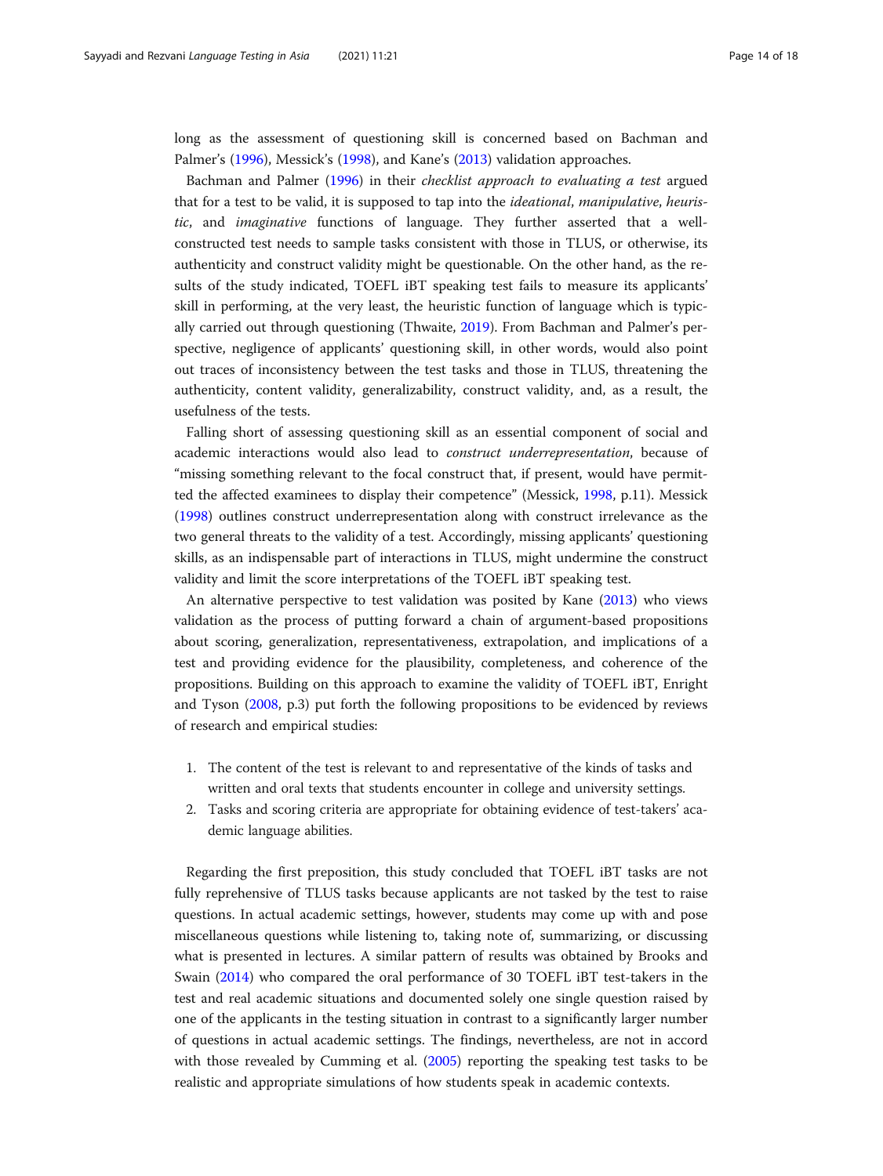long as the assessment of questioning skill is concerned based on Bachman and Palmer's [\(1996\)](#page-16-0), Messick's ([1998\)](#page-16-0), and Kane's [\(2013\)](#page-16-0) validation approaches.

Bachman and Palmer ([1996](#page-16-0)) in their checklist approach to evaluating a test argued that for a test to be valid, it is supposed to tap into the ideational, manipulative, heuristic, and imaginative functions of language. They further asserted that a wellconstructed test needs to sample tasks consistent with those in TLUS, or otherwise, its authenticity and construct validity might be questionable. On the other hand, as the results of the study indicated, TOEFL iBT speaking test fails to measure its applicants' skill in performing, at the very least, the heuristic function of language which is typically carried out through questioning (Thwaite, [2019](#page-17-0)). From Bachman and Palmer's perspective, negligence of applicants' questioning skill, in other words, would also point out traces of inconsistency between the test tasks and those in TLUS, threatening the authenticity, content validity, generalizability, construct validity, and, as a result, the usefulness of the tests.

Falling short of assessing questioning skill as an essential component of social and academic interactions would also lead to construct underrepresentation, because of "missing something relevant to the focal construct that, if present, would have permitted the affected examinees to display their competence" (Messick, [1998](#page-16-0), p.11). Messick ([1998](#page-16-0)) outlines construct underrepresentation along with construct irrelevance as the two general threats to the validity of a test. Accordingly, missing applicants' questioning skills, as an indispensable part of interactions in TLUS, might undermine the construct validity and limit the score interpretations of the TOEFL iBT speaking test.

An alternative perspective to test validation was posited by Kane [\(2013](#page-16-0)) who views validation as the process of putting forward a chain of argument-based propositions about scoring, generalization, representativeness, extrapolation, and implications of a test and providing evidence for the plausibility, completeness, and coherence of the propositions. Building on this approach to examine the validity of TOEFL iBT, Enright and Tyson [\(2008,](#page-16-0) p.3) put forth the following propositions to be evidenced by reviews of research and empirical studies:

- 1. The content of the test is relevant to and representative of the kinds of tasks and written and oral texts that students encounter in college and university settings.
- 2. Tasks and scoring criteria are appropriate for obtaining evidence of test-takers' academic language abilities.

Regarding the first preposition, this study concluded that TOEFL iBT tasks are not fully reprehensive of TLUS tasks because applicants are not tasked by the test to raise questions. In actual academic settings, however, students may come up with and pose miscellaneous questions while listening to, taking note of, summarizing, or discussing what is presented in lectures. A similar pattern of results was obtained by Brooks and Swain ([2014](#page-16-0)) who compared the oral performance of 30 TOEFL iBT test-takers in the test and real academic situations and documented solely one single question raised by one of the applicants in the testing situation in contrast to a significantly larger number of questions in actual academic settings. The findings, nevertheless, are not in accord with those revealed by Cumming et al. ([2005](#page-16-0)) reporting the speaking test tasks to be realistic and appropriate simulations of how students speak in academic contexts.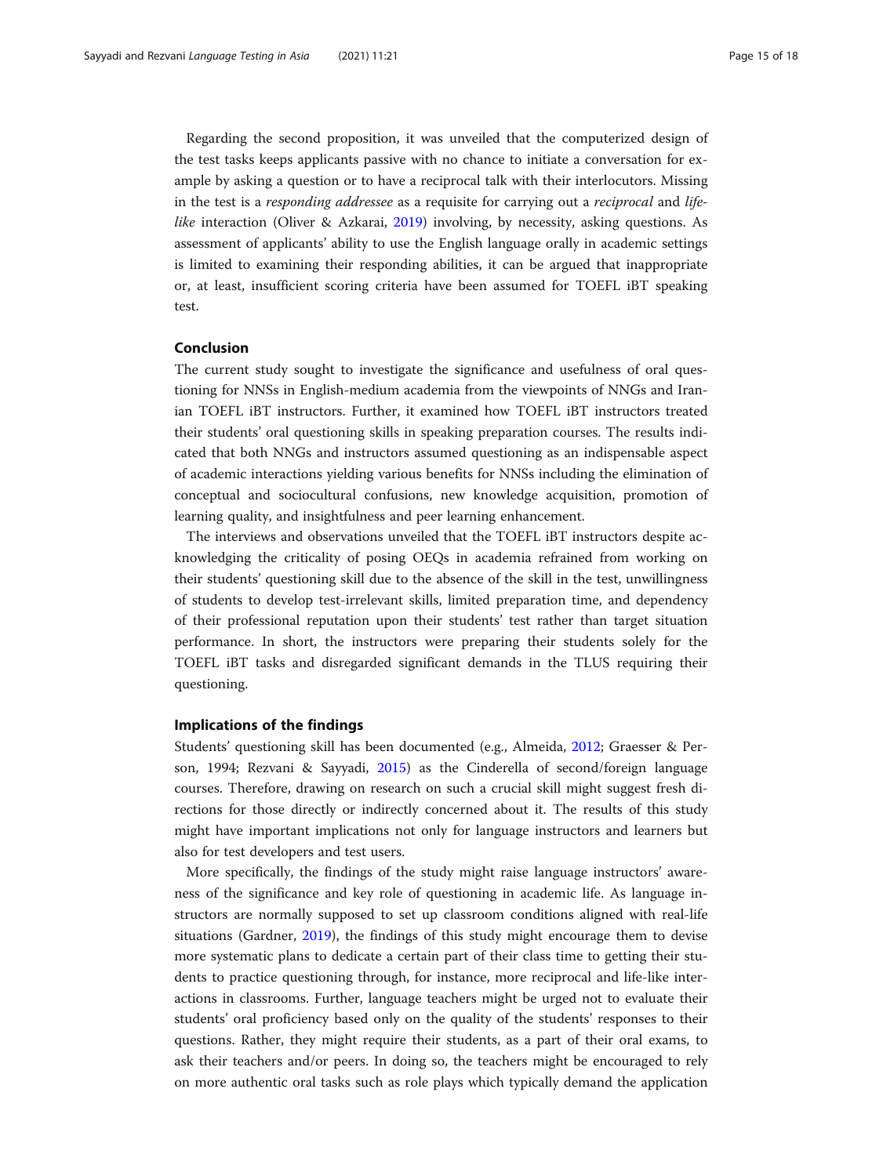Regarding the second proposition, it was unveiled that the computerized design of the test tasks keeps applicants passive with no chance to initiate a conversation for example by asking a question or to have a reciprocal talk with their interlocutors. Missing in the test is a *responding addressee* as a requisite for carrying out a *reciprocal* and *life*like interaction (Oliver & Azkarai, [2019](#page-17-0)) involving, by necessity, asking questions. As assessment of applicants' ability to use the English language orally in academic settings is limited to examining their responding abilities, it can be argued that inappropriate or, at least, insufficient scoring criteria have been assumed for TOEFL iBT speaking test.

# Conclusion

The current study sought to investigate the significance and usefulness of oral questioning for NNSs in English-medium academia from the viewpoints of NNGs and Iranian TOEFL iBT instructors. Further, it examined how TOEFL iBT instructors treated their students' oral questioning skills in speaking preparation courses. The results indicated that both NNGs and instructors assumed questioning as an indispensable aspect of academic interactions yielding various benefits for NNSs including the elimination of conceptual and sociocultural confusions, new knowledge acquisition, promotion of learning quality, and insightfulness and peer learning enhancement.

The interviews and observations unveiled that the TOEFL iBT instructors despite acknowledging the criticality of posing OEQs in academia refrained from working on their students' questioning skill due to the absence of the skill in the test, unwillingness of students to develop test-irrelevant skills, limited preparation time, and dependency of their professional reputation upon their students' test rather than target situation performance. In short, the instructors were preparing their students solely for the TOEFL iBT tasks and disregarded significant demands in the TLUS requiring their questioning.

# Implications of the findings

Students' questioning skill has been documented (e.g., Almeida, [2012](#page-16-0); Graesser & Person, 1994; Rezvani & Sayyadi, [2015](#page-17-0)) as the Cinderella of second/foreign language courses. Therefore, drawing on research on such a crucial skill might suggest fresh directions for those directly or indirectly concerned about it. The results of this study might have important implications not only for language instructors and learners but also for test developers and test users.

More specifically, the findings of the study might raise language instructors' awareness of the significance and key role of questioning in academic life. As language instructors are normally supposed to set up classroom conditions aligned with real-life situations (Gardner, [2019\)](#page-16-0), the findings of this study might encourage them to devise more systematic plans to dedicate a certain part of their class time to getting their students to practice questioning through, for instance, more reciprocal and life-like interactions in classrooms. Further, language teachers might be urged not to evaluate their students' oral proficiency based only on the quality of the students' responses to their questions. Rather, they might require their students, as a part of their oral exams, to ask their teachers and/or peers. In doing so, the teachers might be encouraged to rely on more authentic oral tasks such as role plays which typically demand the application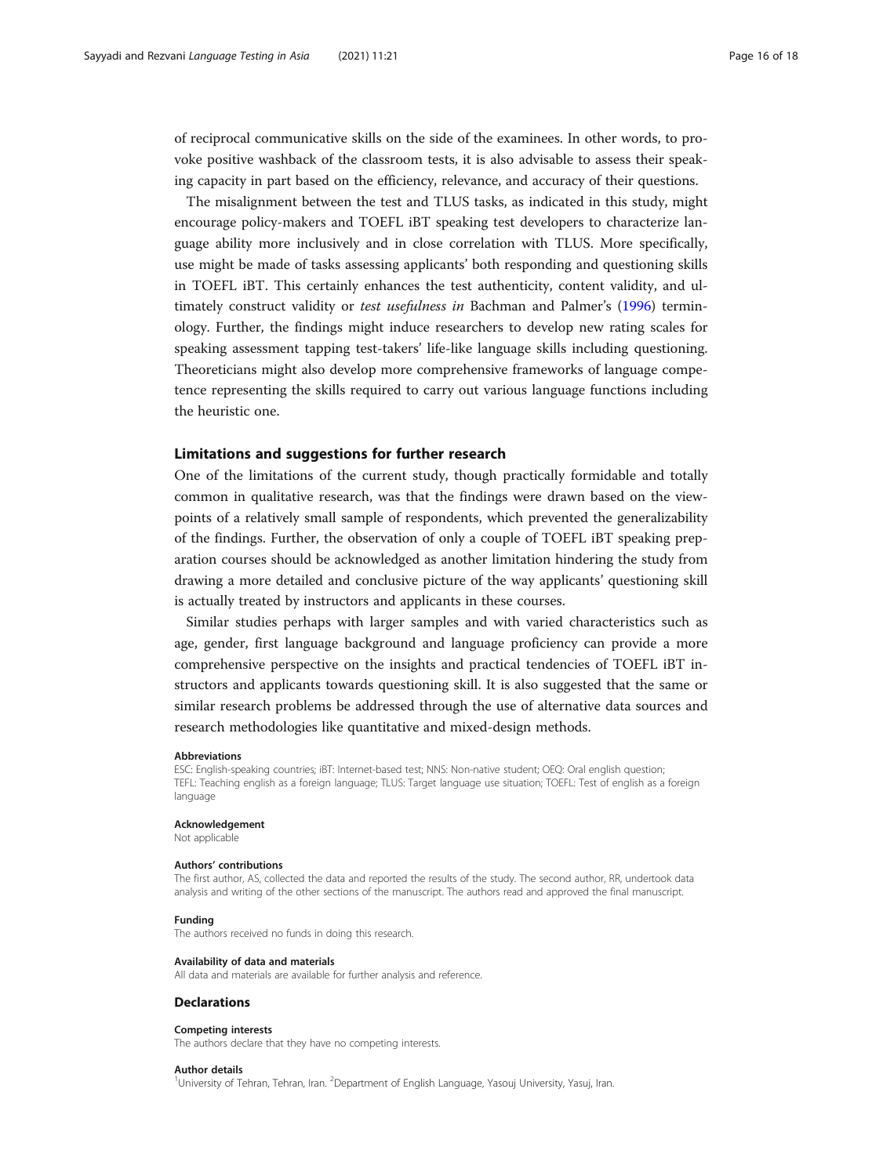of reciprocal communicative skills on the side of the examinees. In other words, to provoke positive washback of the classroom tests, it is also advisable to assess their speaking capacity in part based on the efficiency, relevance, and accuracy of their questions.

The misalignment between the test and TLUS tasks, as indicated in this study, might encourage policy-makers and TOEFL iBT speaking test developers to characterize language ability more inclusively and in close correlation with TLUS. More specifically, use might be made of tasks assessing applicants' both responding and questioning skills in TOEFL iBT. This certainly enhances the test authenticity, content validity, and ul-timately construct validity or test usefulness in Bachman and Palmer's ([1996](#page-16-0)) terminology. Further, the findings might induce researchers to develop new rating scales for speaking assessment tapping test-takers' life-like language skills including questioning. Theoreticians might also develop more comprehensive frameworks of language competence representing the skills required to carry out various language functions including the heuristic one.

# Limitations and suggestions for further research

One of the limitations of the current study, though practically formidable and totally common in qualitative research, was that the findings were drawn based on the viewpoints of a relatively small sample of respondents, which prevented the generalizability of the findings. Further, the observation of only a couple of TOEFL iBT speaking preparation courses should be acknowledged as another limitation hindering the study from drawing a more detailed and conclusive picture of the way applicants' questioning skill is actually treated by instructors and applicants in these courses.

Similar studies perhaps with larger samples and with varied characteristics such as age, gender, first language background and language proficiency can provide a more comprehensive perspective on the insights and practical tendencies of TOEFL iBT instructors and applicants towards questioning skill. It is also suggested that the same or similar research problems be addressed through the use of alternative data sources and research methodologies like quantitative and mixed-design methods.

#### Abbreviations

ESC: English-speaking countries; iBT: Internet-based test; NNS: Non-native student; OEQ: Oral english question; TEFL: Teaching english as a foreign language; TLUS: Target language use situation; TOEFL: Test of english as a foreign language

#### Acknowledgement

Not applicable

### Authors' contributions

The first author, AS, collected the data and reported the results of the study. The second author, RR, undertook data analysis and writing of the other sections of the manuscript. The authors read and approved the final manuscript.

# Funding

The authors received no funds in doing this research.

#### Availability of data and materials

All data and materials are available for further analysis and reference.

# **Declarations**

# Competing interests

The authors declare that they have no competing interests.

### Author details

<sup>1</sup>University of Tehran, Tehran, Iran. <sup>2</sup>Department of English Language, Yasouj University, Yasuj, Iran.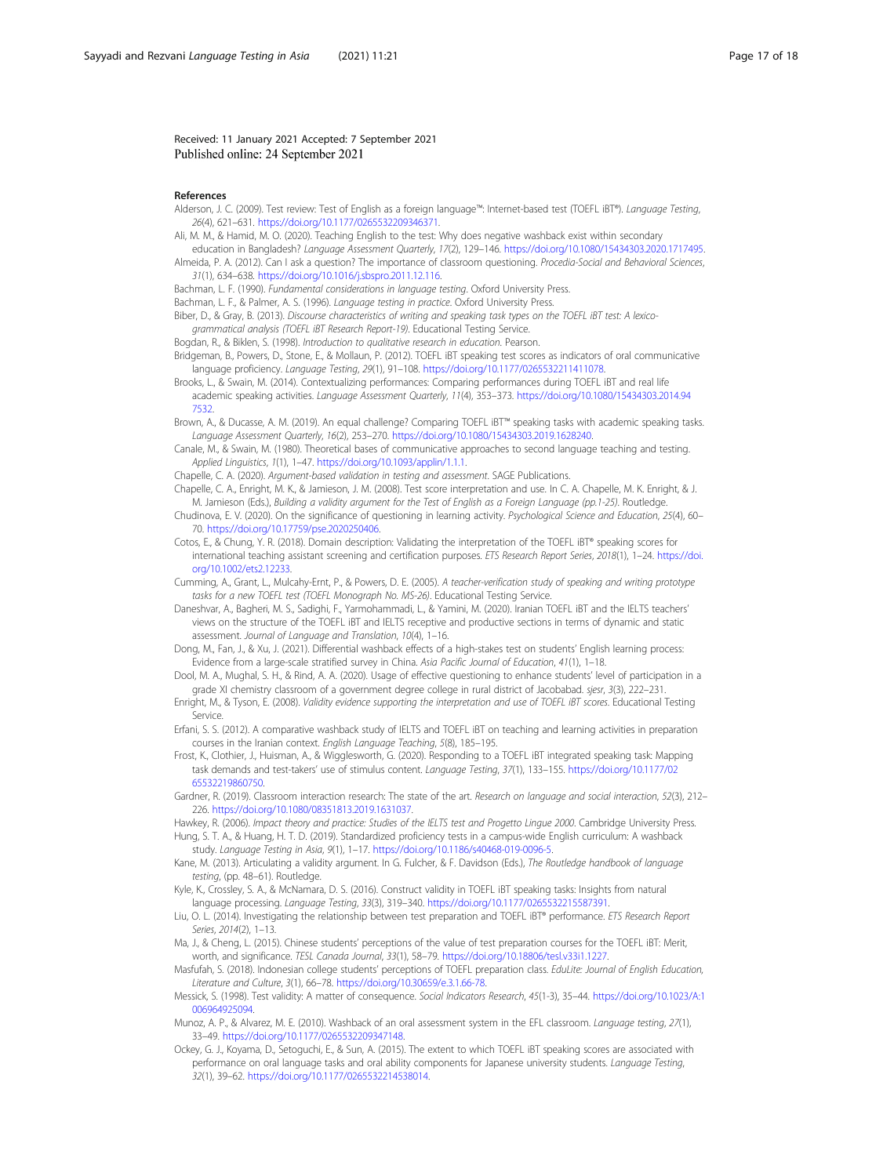<span id="page-16-0"></span>Received: 11 January 2021 Accepted: 7 September 2021 Published online: 24 September 2021

#### References

- Alderson, J. C. (2009). Test review: Test of English as a foreign language™: Internet-based test (TOEFL iBT®). Language Testing, 26(4), 621–631. [https://doi.org/10.1177/0265532209346371.](https://doi.org/10.1177/0265532209346371)
- Ali, M. M., & Hamid, M. O. (2020). Teaching English to the test: Why does negative washback exist within secondary
- education in Bangladesh? Language Assessment Quarterly, 17(2), 129–146. [https://doi.org/10.1080/15434303.2020.1717495.](https://doi.org/10.1080/15434303.2020.1717495) Almeida, P. A. (2012). Can I ask a question? The importance of classroom questioning. Procedia-Social and Behavioral Sciences, 31(1), 634–638. [https://doi.org/10.1016/j.sbspro.2011.12.116.](https://doi.org/10.1016/j.sbspro.2011.12.116)
- Bachman, L. F. (1990). Fundamental considerations in language testing. Oxford University Press.
- Bachman, L. F., & Palmer, A. S. (1996). Language testing in practice. Oxford University Press.
- Biber, D., & Gray, B. (2013). Discourse characteristics of writing and speaking task types on the TOEFL iBT test: A lexicogrammatical analysis (TOEFL iBT Research Report-19). Educational Testing Service.
- Bogdan, R., & Biklen, S. (1998). Introduction to qualitative research in education. Pearson.
- Bridgeman, B., Powers, D., Stone, E., & Mollaun, P. (2012). TOEFL iBT speaking test scores as indicators of oral communicative language proficiency. Language Testing, 29(1), 91–108. <https://doi.org/10.1177/0265532211411078>.
- Brooks, L., & Swain, M. (2014). Contextualizing performances: Comparing performances during TOEFL iBT and real life academic speaking activities. Language Assessment Quarterly, 11(4), 353–373. [https://doi.org/10.1080/15434303.2014.94](https://doi.org/10.1080/15434303.2014.947532) [7532](https://doi.org/10.1080/15434303.2014.947532).
- Brown, A., & Ducasse, A. M. (2019). An equal challenge? Comparing TOEFL iBT™ speaking tasks with academic speaking tasks. Language Assessment Quarterly, 16(2), 253–270. <https://doi.org/10.1080/15434303.2019.1628240>.
- Canale, M., & Swain, M. (1980). Theoretical bases of communicative approaches to second language teaching and testing. Applied Linguistics, 1(1), 1–47. [https://doi.org/10.1093/applin/1.1.1.](https://doi.org/10.1093/applin/1.1.1)
- Chapelle, C. A. (2020). Argument-based validation in testing and assessment. SAGE Publications.
- Chapelle, C. A., Enright, M. K., & Jamieson, J. M. (2008). Test score interpretation and use. In C. A. Chapelle, M. K. Enright, & J. M. Jamieson (Eds.), Building a validity argument for the Test of English as a Foreign Language (pp.1-25). Routledge.
- Chudinova, E. V. (2020). On the significance of questioning in learning activity. Psychological Science and Education, 25(4), 60– 70. [https://doi.org/10.17759/pse.2020250406.](https://doi.org/10.17759/pse.2020250406)
- Cotos, E., & Chung, Y. R. (2018). Domain description: Validating the interpretation of the TOEFL iBT® speaking scores for international teaching assistant screening and certification purposes. ETS Research Report Series, 2018(1), 1–24. [https://doi.](https://doi.org/10.1002/ets2.12233) [org/10.1002/ets2.12233.](https://doi.org/10.1002/ets2.12233)
- Cumming, A., Grant, L., Mulcahy-Ernt, P., & Powers, D. E. (2005). A teacher-verification study of speaking and writing prototype tasks for a new TOEFL test (TOEFL Monograph No. MS-26). Educational Testing Service.
- Daneshvar, A., Bagheri, M. S., Sadighi, F., Yarmohammadi, L., & Yamini, M. (2020). Iranian TOEFL iBT and the IELTS teachers' views on the structure of the TOEFL iBT and IELTS receptive and productive sections in terms of dynamic and static assessment. Journal of Language and Translation, 10(4), 1–16.
- Dong, M., Fan, J., & Xu, J. (2021). Differential washback effects of a high-stakes test on students' English learning process: Evidence from a large-scale stratified survey in China. Asia Pacific Journal of Education, 41(1), 1–18.
- Dool, M. A., Mughal, S. H., & Rind, A. A. (2020). Usage of effective questioning to enhance students' level of participation in a grade XI chemistry classroom of a government degree college in rural district of Jacobabad. sjesr, 3(3), 222–231.
- Enright, M., & Tyson, E. (2008). Validity evidence supporting the interpretation and use of TOEFL iBT scores. Educational Testing Service.
- Erfani, S. S. (2012). A comparative washback study of IELTS and TOEFL iBT on teaching and learning activities in preparation courses in the Iranian context. English Language Teaching, 5(8), 185–195.
- Frost, K., Clothier, J., Huisman, A., & Wigglesworth, G. (2020). Responding to a TOEFL iBT integrated speaking task: Mapping task demands and test-takers' use of stimulus content. Language Testing, 37(1), 133–155. [https://doi.org/10.1177/02](https://doi.org/10.1177/0265532219860750) [65532219860750](https://doi.org/10.1177/0265532219860750).
- Gardner, R. (2019). Classroom interaction research: The state of the art. Research on language and social interaction, 52(3), 212– 226. [https://doi.org/10.1080/08351813.2019.1631037.](https://doi.org/10.1080/08351813.2019.1631037)
- Hawkey, R. (2006). Impact theory and practice: Studies of the IELTS test and Progetto Lingue 2000. Cambridge University Press. Hung, S. T. A., & Huang, H. T. D. (2019). Standardized proficiency tests in a campus-wide English curriculum: A washback study. Language Testing in Asia, 9(1), 1–17. <https://doi.org/10.1186/s40468-019-0096-5>.
- Kane, M. (2013). Articulating a validity argument. In G. Fulcher, & F. Davidson (Eds.), The Routledge handbook of language testing, (pp. 48–61). Routledge.
- Kyle, K., Crossley, S. A., & McNamara, D. S. (2016). Construct validity in TOEFL iBT speaking tasks: Insights from natural language processing. Language Testing, 33(3), 319–340. <https://doi.org/10.1177/0265532215587391>.
- Liu, O. L. (2014). Investigating the relationship between test preparation and TOEFL iBT® performance. ETS Research Report Series, 2014(2), 1–13.
- Ma, J., & Cheng, L. (2015). Chinese students' perceptions of the value of test preparation courses for the TOEFL iBT: Merit, worth, and significance. TESL Canada Journal, 33(1), 58–79. [https://doi.org/10.18806/tesl.v33i1.1227.](https://doi.org/10.18806/tesl.v33i1.1227)
- Masfufah, S. (2018). Indonesian college students' perceptions of TOEFL preparation class. EduLite: Journal of English Education, Literature and Culture, 3(1), 66–78. <https://doi.org/10.30659/e.3.1.66-78>.
- Messick, S. (1998). Test validity: A matter of consequence. Social Indicators Research, 45(1-3), 35–44. [https://doi.org/10.1023/A:1](https://doi.org/10.1023/A:1006964925094) [006964925094.](https://doi.org/10.1023/A:1006964925094)
- Munoz, A. P., & Alvarez, M. E. (2010). Washback of an oral assessment system in the EFL classroom. Language testing, 27(1), 33–49. <https://doi.org/10.1177/0265532209347148>.
- Ockey, G. J., Koyama, D., Setoguchi, E., & Sun, A. (2015). The extent to which TOEFL iBT speaking scores are associated with performance on oral language tasks and oral ability components for Japanese university students. Language Testing, 32(1), 39–62. [https://doi.org/10.1177/0265532214538014.](https://doi.org/10.1177/0265532214538014)